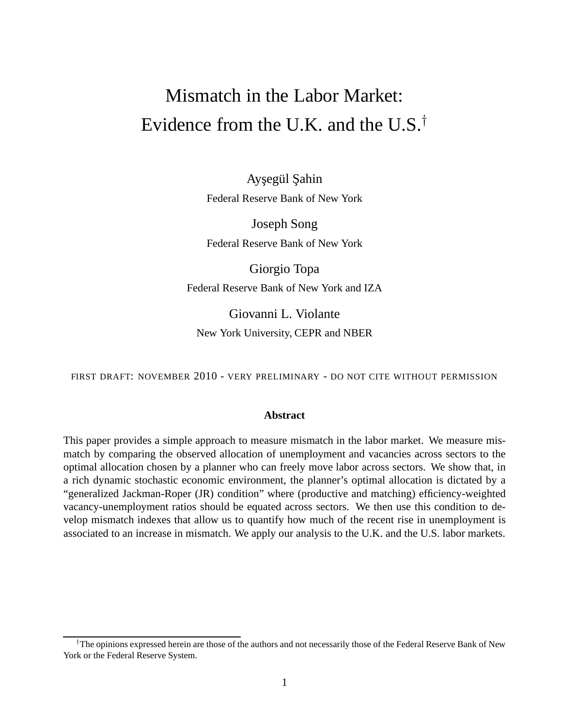# Mismatch in the Labor Market: Evidence from the U.K. and the U.S.<sup>†</sup>

Aysegül Sahin Federal Reserve Bank of New York

Joseph Song Federal Reserve Bank of New York

Giorgio Topa Federal Reserve Bank of New York and IZA

Giovanni L. Violante New York University, CEPR and NBER

FIRST DRAFT: NOVEMBER 2010 - VERY PRELIMINARY - DO NOT CITE WITHOUT PERMISSION

#### **Abstract**

This paper provides a simple approach to measure mismatch in the labor market. We measure mismatch by comparing the observed allocation of unemployment and vacancies across sectors to the optimal allocation chosen by a planner who can freely move labor across sectors. We show that, in a rich dynamic stochastic economic environment, the planner's optimal allocation is dictated by a "generalized Jackman-Roper (JR) condition" where (productive and matching) efficiency-weighted vacancy-unemployment ratios should be equated across sectors. We then use this condition to develop mismatch indexes that allow us to quantify how much of the recent rise in unemployment is associated to an increase in mismatch. We apply our analysis to the U.K. and the U.S. labor markets.

<sup>†</sup>The opinions expressed herein are those of the authors and not necessarily those of the Federal Reserve Bank of New York or the Federal Reserve System.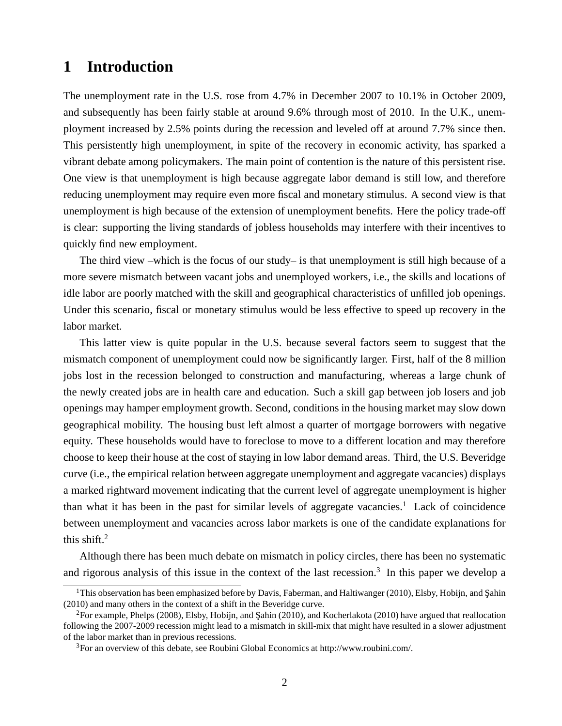# **1 Introduction**

The unemployment rate in the U.S. rose from 4.7% in December 2007 to 10.1% in October 2009, and subsequently has been fairly stable at around 9.6% through most of 2010. In the U.K., unemployment increased by 2.5% points during the recession and leveled off at around 7.7% since then. This persistently high unemployment, in spite of the recovery in economic activity, has sparked a vibrant debate among policymakers. The main point of contention is the nature of this persistent rise. One view is that unemployment is high because aggregate labor demand is still low, and therefore reducing unemployment may require even more fiscal and monetary stimulus. A second view is that unemployment is high because of the extension of unemployment benefits. Here the policy trade-off is clear: supporting the living standards of jobless households may interfere with their incentives to quickly find new employment.

The third view –which is the focus of our study– is that unemployment is still high because of a more severe mismatch between vacant jobs and unemployed workers, i.e., the skills and locations of idle labor are poorly matched with the skill and geographical characteristics of unfilled job openings. Under this scenario, fiscal or monetary stimulus would be less effective to speed up recovery in the labor market.

This latter view is quite popular in the U.S. because several factors seem to suggest that the mismatch component of unemployment could now be significantly larger. First, half of the 8 million jobs lost in the recession belonged to construction and manufacturing, whereas a large chunk of the newly created jobs are in health care and education. Such a skill gap between job losers and job openings may hamper employment growth. Second, conditions in the housing market may slow down geographical mobility. The housing bust left almost a quarter of mortgage borrowers with negative equity. These households would have to foreclose to move to a different location and may therefore choose to keep their house at the cost of staying in low labor demand areas. Third, the U.S. Beveridge curve (i.e., the empirical relation between aggregate unemployment and aggregate vacancies) displays a marked rightward movement indicating that the current level of aggregate unemployment is higher than what it has been in the past for similar levels of aggregate vacancies.<sup>1</sup> Lack of coincidence between unemployment and vacancies across labor markets is one of the candidate explanations for this shift. $2$ 

Although there has been much debate on mismatch in policy circles, there has been no systematic and rigorous analysis of this issue in the context of the last recession.<sup>3</sup> In this paper we develop a

<sup>&</sup>lt;sup>1</sup>This observation has been emphasized before by Davis, Faberman, and Haltiwanger (2010), Elsby, Hobijn, and Sahin (2010) and many others in the context of a shift in the Beveridge curve.

 ${}^{2}$ For example, Phelps (2008), Elsby, Hobijn, and Sahin (2010), and Kocherlakota (2010) have argued that reallocation following the 2007-2009 recession might lead to a mismatch in skill-mix that might have resulted in a slower adjustment of the labor market than in previous recessions.

<sup>3</sup>For an overview of this debate, see Roubini Global Economics at http://www.roubini.com/.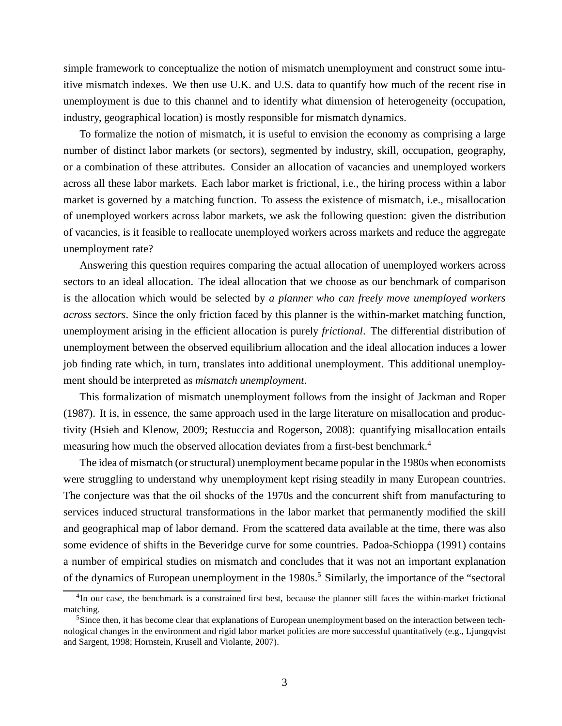simple framework to conceptualize the notion of mismatch unemployment and construct some intuitive mismatch indexes. We then use U.K. and U.S. data to quantify how much of the recent rise in unemployment is due to this channel and to identify what dimension of heterogeneity (occupation, industry, geographical location) is mostly responsible for mismatch dynamics.

To formalize the notion of mismatch, it is useful to envision the economy as comprising a large number of distinct labor markets (or sectors), segmented by industry, skill, occupation, geography, or a combination of these attributes. Consider an allocation of vacancies and unemployed workers across all these labor markets. Each labor market is frictional, i.e., the hiring process within a labor market is governed by a matching function. To assess the existence of mismatch, i.e., misallocation of unemployed workers across labor markets, we ask the following question: given the distribution of vacancies, is it feasible to reallocate unemployed workers across markets and reduce the aggregate unemployment rate?

Answering this question requires comparing the actual allocation of unemployed workers across sectors to an ideal allocation. The ideal allocation that we choose as our benchmark of comparison is the allocation which would be selected by *a planner who can freely move unemployed workers across sectors*. Since the only friction faced by this planner is the within-market matching function, unemployment arising in the efficient allocation is purely *frictional*. The differential distribution of unemployment between the observed equilibrium allocation and the ideal allocation induces a lower job finding rate which, in turn, translates into additional unemployment. This additional unemployment should be interpreted as *mismatch unemployment*.

This formalization of mismatch unemployment follows from the insight of Jackman and Roper (1987). It is, in essence, the same approach used in the large literature on misallocation and productivity (Hsieh and Klenow, 2009; Restuccia and Rogerson, 2008): quantifying misallocation entails measuring how much the observed allocation deviates from a first-best benchmark.<sup>4</sup>

The idea of mismatch (or structural) unemployment became popular in the 1980s when economists were struggling to understand why unemployment kept rising steadily in many European countries. The conjecture was that the oil shocks of the 1970s and the concurrent shift from manufacturing to services induced structural transformations in the labor market that permanently modified the skill and geographical map of labor demand. From the scattered data available at the time, there was also some evidence of shifts in the Beveridge curve for some countries. Padoa-Schioppa (1991) contains a number of empirical studies on mismatch and concludes that it was not an important explanation of the dynamics of European unemployment in the 1980s.<sup>5</sup> Similarly, the importance of the "sectoral

<sup>&</sup>lt;sup>4</sup>In our case, the benchmark is a constrained first best, because the planner still faces the within-market frictional matching.

<sup>&</sup>lt;sup>5</sup>Since then, it has become clear that explanations of European unemployment based on the interaction between technological changes in the environment and rigid labor market policies are more successful quantitatively (e.g., Ljungqvist and Sargent, 1998; Hornstein, Krusell and Violante, 2007).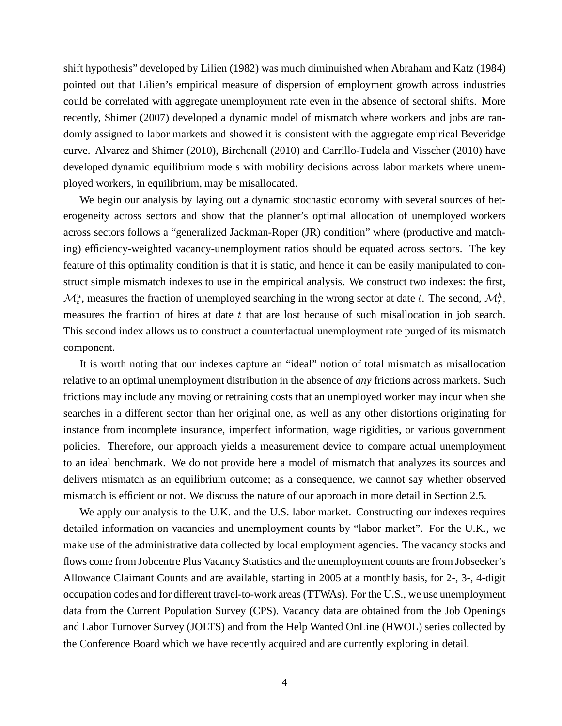shift hypothesis" developed by Lilien (1982) was much diminuished when Abraham and Katz (1984) pointed out that Lilien's empirical measure of dispersion of employment growth across industries could be correlated with aggregate unemployment rate even in the absence of sectoral shifts. More recently, Shimer (2007) developed a dynamic model of mismatch where workers and jobs are randomly assigned to labor markets and showed it is consistent with the aggregate empirical Beveridge curve. Alvarez and Shimer (2010), Birchenall (2010) and Carrillo-Tudela and Visscher (2010) have developed dynamic equilibrium models with mobility decisions across labor markets where unemployed workers, in equilibrium, may be misallocated.

We begin our analysis by laying out a dynamic stochastic economy with several sources of heterogeneity across sectors and show that the planner's optimal allocation of unemployed workers across sectors follows a "generalized Jackman-Roper (JR) condition" where (productive and matching) efficiency-weighted vacancy-unemployment ratios should be equated across sectors. The key feature of this optimality condition is that it is static, and hence it can be easily manipulated to construct simple mismatch indexes to use in the empirical analysis. We construct two indexes: the first,  $\mathcal{M}_t^u$ , measures the fraction of unemployed searching in the wrong sector at date t. The second,  $\mathcal{M}_t^h$ , measures the fraction of hires at date  $t$  that are lost because of such misallocation in job search. This second index allows us to construct a counterfactual unemployment rate purged of its mismatch component.

It is worth noting that our indexes capture an "ideal" notion of total mismatch as misallocation relative to an optimal unemployment distribution in the absence of *any* frictions across markets. Such frictions may include any moving or retraining costs that an unemployed worker may incur when she searches in a different sector than her original one, as well as any other distortions originating for instance from incomplete insurance, imperfect information, wage rigidities, or various government policies. Therefore, our approach yields a measurement device to compare actual unemployment to an ideal benchmark. We do not provide here a model of mismatch that analyzes its sources and delivers mismatch as an equilibrium outcome; as a consequence, we cannot say whether observed mismatch is efficient or not. We discuss the nature of our approach in more detail in Section 2.5.

We apply our analysis to the U.K. and the U.S. labor market. Constructing our indexes requires detailed information on vacancies and unemployment counts by "labor market". For the U.K., we make use of the administrative data collected by local employment agencies. The vacancy stocks and flows come from Jobcentre Plus Vacancy Statistics and the unemployment counts are from Jobseeker's Allowance Claimant Counts and are available, starting in 2005 at a monthly basis, for 2-, 3-, 4-digit occupation codes and for different travel-to-work areas (TTWAs). For the U.S., we use unemployment data from the Current Population Survey (CPS). Vacancy data are obtained from the Job Openings and Labor Turnover Survey (JOLTS) and from the Help Wanted OnLine (HWOL) series collected by the Conference Board which we have recently acquired and are currently exploring in detail.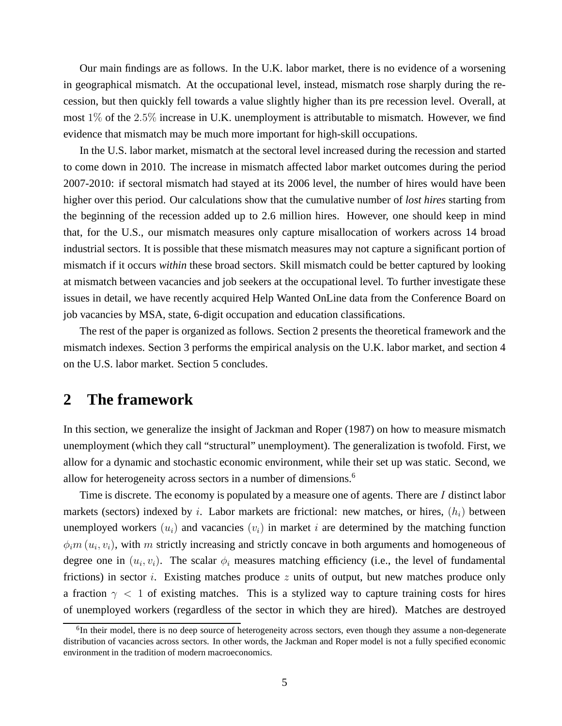Our main findings are as follows. In the U.K. labor market, there is no evidence of a worsening in geographical mismatch. At the occupational level, instead, mismatch rose sharply during the recession, but then quickly fell towards a value slightly higher than its pre recession level. Overall, at most  $1\%$  of the 2.5% increase in U.K. unemployment is attributable to mismatch. However, we find evidence that mismatch may be much more important for high-skill occupations.

In the U.S. labor market, mismatch at the sectoral level increased during the recession and started to come down in 2010. The increase in mismatch affected labor market outcomes during the period 2007-2010: if sectoral mismatch had stayed at its 2006 level, the number of hires would have been higher over this period. Our calculations show that the cumulative number of *lost hires* starting from the beginning of the recession added up to 2.6 million hires. However, one should keep in mind that, for the U.S., our mismatch measures only capture misallocation of workers across 14 broad industrial sectors. It is possible that these mismatch measures may not capture a significant portion of mismatch if it occurs *within* these broad sectors. Skill mismatch could be better captured by looking at mismatch between vacancies and job seekers at the occupational level. To further investigate these issues in detail, we have recently acquired Help Wanted OnLine data from the Conference Board on job vacancies by MSA, state, 6-digit occupation and education classifications.

The rest of the paper is organized as follows. Section 2 presents the theoretical framework and the mismatch indexes. Section 3 performs the empirical analysis on the U.K. labor market, and section 4 on the U.S. labor market. Section 5 concludes.

## **2 The framework**

In this section, we generalize the insight of Jackman and Roper (1987) on how to measure mismatch unemployment (which they call "structural" unemployment). The generalization is twofold. First, we allow for a dynamic and stochastic economic environment, while their set up was static. Second, we allow for heterogeneity across sectors in a number of dimensions.<sup>6</sup>

Time is discrete. The economy is populated by a measure one of agents. There are I distinct labor markets (sectors) indexed by i. Labor markets are frictional: new matches, or hires,  $(h_i)$  between unemployed workers  $(u_i)$  and vacancies  $(v_i)$  in market i are determined by the matching function  $\phi_i$  m  $(u_i, v_i)$ , with m strictly increasing and strictly concave in both arguments and homogeneous of degree one in  $(u_i, v_i)$ . The scalar  $\phi_i$  measures matching efficiency (i.e., the level of fundamental frictions) in sector *i*. Existing matches produce  $z$  units of output, but new matches produce only a fraction  $\gamma$  < 1 of existing matches. This is a stylized way to capture training costs for hires of unemployed workers (regardless of the sector in which they are hired). Matches are destroyed

<sup>&</sup>lt;sup>6</sup>In their model, there is no deep source of heterogeneity across sectors, even though they assume a non-degenerate distribution of vacancies across sectors. In other words, the Jackman and Roper model is not a fully specified economic environment in the tradition of modern macroeconomics.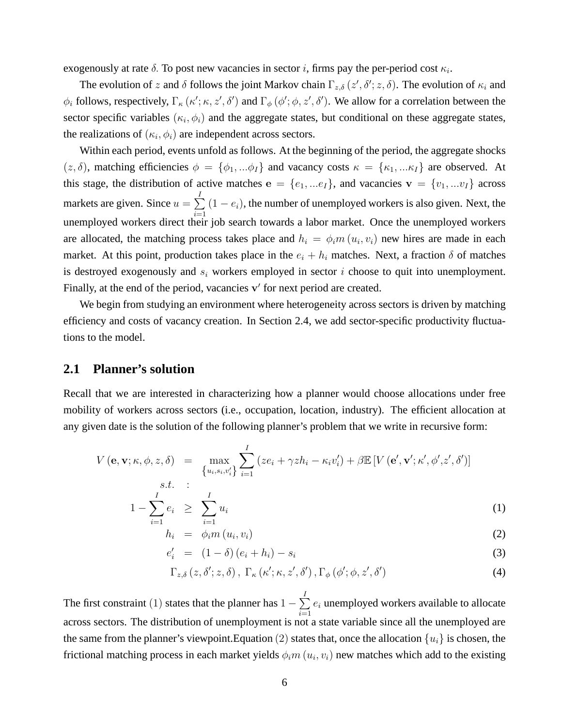exogenously at rate  $\delta$ . To post new vacancies in sector *i*, firms pay the per-period cost  $\kappa_i$ .

The evolution of z and  $\delta$  follows the joint Markov chain  $\Gamma_{z,\delta}(z',\delta';z,\delta)$ . The evolution of  $\kappa_i$  and  $\phi_i$  follows, respectively,  $\Gamma_{\kappa}(\kappa'; \kappa, z', \delta')$  and  $\Gamma_{\phi}(\phi'; \phi, z', \delta')$ . We allow for a correlation between the sector specific variables  $(\kappa_i, \phi_i)$  and the aggregate states, but conditional on these aggregate states, the realizations of  $(\kappa_i, \phi_i)$  are independent across sectors.

Within each period, events unfold as follows. At the beginning of the period, the aggregate shocks  $(z, \delta)$ , matching efficiencies  $\phi = {\phi_1, \ldots, \phi_I}$  and vacancy costs  $\kappa = {\kappa_1, \ldots, \kappa_I}$  are observed. At this stage, the distribution of active matches  $e = \{e_1, \ldots e_I\}$ , and vacancies  $v = \{v_1, \ldots v_I\}$  across markets are given. Since  $u = \sum$ I  $i=1$  $(1 - e_i)$ , the number of unemployed workers is also given. Next, the unemployed workers direct their job search towards a labor market. Once the unemployed workers are allocated, the matching process takes place and  $h_i = \phi_i m(u_i, v_i)$  new hires are made in each market. At this point, production takes place in the  $e_i + h_i$  matches. Next, a fraction  $\delta$  of matches is destroyed exogenously and  $s_i$  workers employed in sector i choose to quit into unemployment. Finally, at the end of the period, vacancies v' for next period are created.

We begin from studying an environment where heterogeneity across sectors is driven by matching efficiency and costs of vacancy creation. In Section 2.4, we add sector-specific productivity fluctuations to the model.

### **2.1 Planner's solution**

Recall that we are interested in characterizing how a planner would choose allocations under free mobility of workers across sectors (i.e., occupation, location, industry). The efficient allocation at any given date is the solution of the following planner's problem that we write in recursive form:

$$
V(\mathbf{e}, \mathbf{v}; \kappa, \phi, z, \delta) = \max_{\substack{\{u_i, s_i, v'_i\} \\ S.t. \qquad \vdots \\ I}} \sum_{i=1}^{I} (ze_i + \gamma zh_i - \kappa_i v'_i) + \beta \mathbb{E}[V(\mathbf{e}', \mathbf{v}'; \kappa', \phi', z', \delta')]
$$

$$
1 - \sum_{i=1}^{n} e_i \geq \sum_{i=1}^{n} u_i
$$
 (1)

$$
h_i = \phi_i m(u_i, v_i) \tag{2}
$$

$$
e'_{i} = (1 - \delta) (e_{i} + h_{i}) - s_{i}
$$
 (3)

$$
\Gamma_{z,\delta}\left(z,\delta';z,\delta\right),\ \Gamma_{\kappa}\left(\kappa';\kappa,z',\delta'\right),\Gamma_{\phi}\left(\phi';\phi,z',\delta'\right) \tag{4}
$$

The first constraint (1) states that the planner has  $1 - \sum$ I  $i=1$  $e_i$  unemployed workers available to allocate across sectors. The distribution of unemployment is not a state variable since all the unemployed are the same from the planner's viewpoint. Equation (2) states that, once the allocation  $\{u_i\}$  is chosen, the frictional matching process in each market yields  $\phi_i m\left(u_i,v_i\right)$  new matches which add to the existing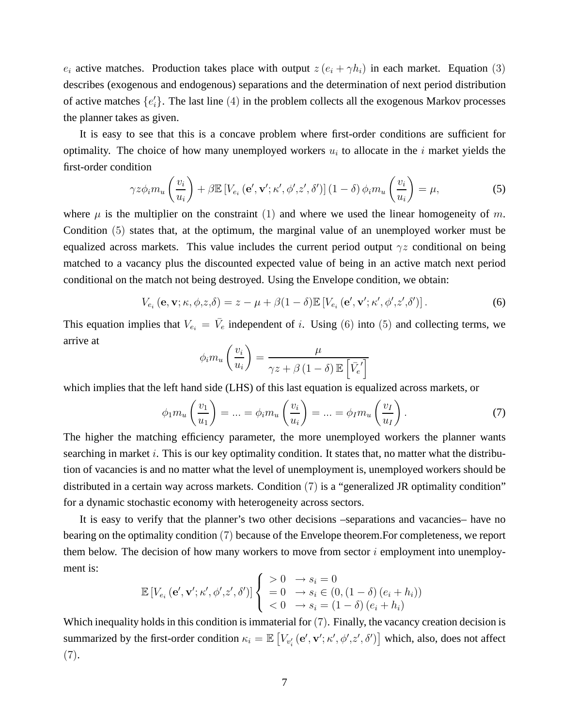$e_i$  active matches. Production takes place with output  $z(e_i + \gamma h_i)$  in each market. Equation (3) describes (exogenous and endogenous) separations and the determination of next period distribution of active matches  $\{e_i^j\}$  $\{i\}$ . The last line  $(4)$  in the problem collects all the exogenous Markov processes the planner takes as given.

It is easy to see that this is a concave problem where first-order conditions are sufficient for optimality. The choice of how many unemployed workers  $u_i$  to allocate in the i market yields the first-order condition

$$
\gamma z \phi_i m_u \left(\frac{v_i}{u_i}\right) + \beta \mathbb{E}\left[V_{e_i}\left(\mathbf{e}', \mathbf{v}'; \kappa', \phi', z', \delta'\right)\right] \left(1 - \delta\right) \phi_i m_u \left(\frac{v_i}{u_i}\right) = \mu,\tag{5}
$$

where  $\mu$  is the multiplier on the constraint (1) and where we used the linear homogeneity of m. Condition (5) states that, at the optimum, the marginal value of an unemployed worker must be equalized across markets. This value includes the current period output  $\gamma z$  conditional on being matched to a vacancy plus the discounted expected value of being in an active match next period conditional on the match not being destroyed. Using the Envelope condition, we obtain:

$$
V_{e_i}(\mathbf{e}, \mathbf{v}; \kappa, \phi, z, \delta) = z - \mu + \beta (1 - \delta) \mathbb{E} \left[ V_{e_i}(\mathbf{e}', \mathbf{v}'; \kappa', \phi', z', \delta') \right]. \tag{6}
$$

This equation implies that  $V_{e_i} = \bar{V}_e$  independent of i. Using (6) into (5) and collecting terms, we arrive at

$$
\phi_i m_u \left( \frac{v_i}{u_i} \right) = \frac{\mu}{\gamma z + \beta \left( 1 - \delta \right) \mathbb{E} \left[ \bar{V_e}' \right]}
$$

which implies that the left hand side (LHS) of this last equation is equalized across markets, or

$$
\phi_1 m_u \left( \frac{v_1}{u_1} \right) = \dots = \phi_i m_u \left( \frac{v_i}{u_i} \right) = \dots = \phi_I m_u \left( \frac{v_I}{u_I} \right). \tag{7}
$$

The higher the matching efficiency parameter, the more unemployed workers the planner wants searching in market  $i$ . This is our key optimality condition. It states that, no matter what the distribution of vacancies is and no matter what the level of unemployment is, unemployed workers should be distributed in a certain way across markets. Condition (7) is a "generalized JR optimality condition" for a dynamic stochastic economy with heterogeneity across sectors.

It is easy to verify that the planner's two other decisions –separations and vacancies– have no bearing on the optimality condition (7) because of the Envelope theorem.For completeness, we report them below. The decision of how many workers to move from sector  $i$  employment into unemployment is:

$$
\mathbb{E}\left[V_{e_i}\left(\mathbf{e}', \mathbf{v}'; \kappa', \phi', z', \delta'\right)\right] \begin{cases} > 0 \quad \to s_i = 0 \\ & = 0 \quad \to s_i \in (0, (1 - \delta) \left(e_i + h_i\right)) \\ & < 0 \quad \to s_i = (1 - \delta) \left(e_i + h_i\right) \end{cases}
$$

Which inequality holds in this condition is immaterial for  $(7)$ . Finally, the vacancy creation decision is summarized by the first-order condition  $\kappa_i = \mathbb{E}\left[V_{v_i'}(\mathbf{e}', \mathbf{v}'; \kappa', \phi', z', \delta')\right]$  which, also, does not affect (7).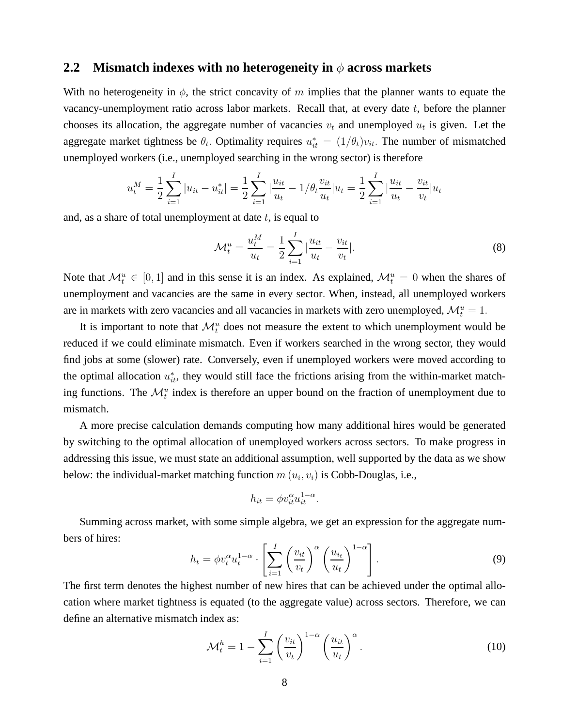### **2.2** Mismatch indexes with no heterogeneity in φ across markets

With no heterogeneity in  $\phi$ , the strict concavity of m implies that the planner wants to equate the vacancy-unemployment ratio across labor markets. Recall that, at every date  $t$ , before the planner chooses its allocation, the aggregate number of vacancies  $v_t$  and unemployed  $u_t$  is given. Let the aggregate market tightness be  $\theta_t$ . Optimality requires  $u_{it}^* = (1/\theta_t)v_{it}$ . The number of mismatched unemployed workers (i.e., unemployed searching in the wrong sector) is therefore

$$
u_t^M = \frac{1}{2} \sum_{i=1}^I |u_{it} - u_{it}^*| = \frac{1}{2} \sum_{i=1}^I \left| \frac{u_{it}}{u_t} - 1/\theta_t \frac{v_{it}}{u_t} \right| u_t = \frac{1}{2} \sum_{i=1}^I \left| \frac{u_{it}}{u_t} - \frac{v_{it}}{v_t} \right| u_t
$$

and, as a share of total unemployment at date  $t$ , is equal to

$$
\mathcal{M}_t^u = \frac{u_t^M}{u_t} = \frac{1}{2} \sum_{i=1}^I \left| \frac{u_{it}}{u_t} - \frac{v_{it}}{v_t} \right|.
$$
 (8)

Note that  $\mathcal{M}_t^u \in [0, 1]$  and in this sense it is an index. As explained,  $\mathcal{M}_t^u = 0$  when the shares of unemployment and vacancies are the same in every sector. When, instead, all unemployed workers are in markets with zero vacancies and all vacancies in markets with zero unemployed,  $\mathcal{M}_t^u = 1$ .

It is important to note that  $\mathcal{M}_t^u$  does not measure the extent to which unemployment would be reduced if we could eliminate mismatch. Even if workers searched in the wrong sector, they would find jobs at some (slower) rate. Conversely, even if unemployed workers were moved according to the optimal allocation  $u_{it}^*$ , they would still face the frictions arising from the within-market matching functions. The  $\mathcal{M}_t^u$  index is therefore an upper bound on the fraction of unemployment due to mismatch.

A more precise calculation demands computing how many additional hires would be generated by switching to the optimal allocation of unemployed workers across sectors. To make progress in addressing this issue, we must state an additional assumption, well supported by the data as we show below: the individual-market matching function  $m(u_i, v_i)$  is Cobb-Douglas, i.e.,

$$
h_{it} = \phi v_{it}^{\alpha} u_{it}^{1-\alpha}.
$$

Summing across market, with some simple algebra, we get an expression for the aggregate numbers of hires:

$$
h_t = \phi v_t^{\alpha} u_t^{1-\alpha} \cdot \left[ \sum_{i=1}^I \left( \frac{v_{it}}{v_t} \right)^{\alpha} \left( \frac{u_{i_t}}{u_t} \right)^{1-\alpha} \right]. \tag{9}
$$

The first term denotes the highest number of new hires that can be achieved under the optimal allocation where market tightness is equated (to the aggregate value) across sectors. Therefore, we can define an alternative mismatch index as:

$$
\mathcal{M}_t^h = 1 - \sum_{i=1}^I \left(\frac{v_{it}}{v_t}\right)^{1-\alpha} \left(\frac{u_{it}}{u_t}\right)^{\alpha}.
$$
 (10)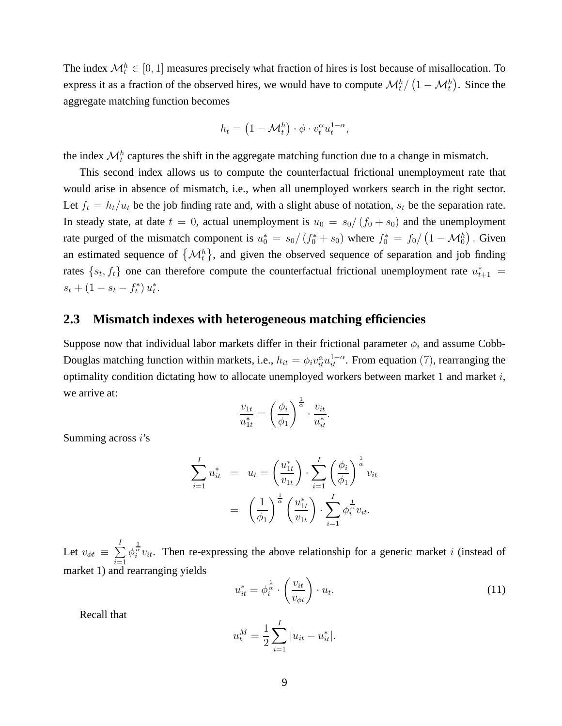The index  $\mathcal{M}_t^h \in [0, 1]$  measures precisely what fraction of hires is lost because of misallocation. To express it as a fraction of the observed hires, we would have to compute  $\mathcal{M}_t^h/\left(1-\mathcal{M}_t^h\right)$ . Since the aggregate matching function becomes

$$
h_t = \left(1 - \mathcal{M}_t^h\right) \cdot \phi \cdot v_t^{\alpha} u_t^{1-\alpha},
$$

the index  $\mathcal{M}_t^h$  captures the shift in the aggregate matching function due to a change in mismatch.

This second index allows us to compute the counterfactual frictional unemployment rate that would arise in absence of mismatch, i.e., when all unemployed workers search in the right sector. Let  $f_t = h_t/u_t$  be the job finding rate and, with a slight abuse of notation,  $s_t$  be the separation rate. In steady state, at date  $t = 0$ , actual unemployment is  $u_0 = s_0/(f_0 + s_0)$  and the unemployment rate purged of the mismatch component is  $u_0^* = s_0/(f_0^* + s_0)$  where  $f_0^* = f_0/(1 - \mathcal{M}_0^h)$ . Given an estimated sequence of  $\{\mathcal{M}_t^h\}$ , and given the observed sequence of separation and job finding rates  $\{s_t, f_t\}$  one can therefore compute the counterfactual frictional unemployment rate  $u_{t+1}^* =$  $s_t + (1 - s_t - f_t^*)$  $\binom{1}{t} u_t^*$  $\frac{1}{t}$ .

### **2.3 Mismatch indexes with heterogeneous matching efficiencies**

Suppose now that individual labor markets differ in their frictional parameter  $\phi_i$  and assume Cobb-Douglas matching function within markets, i.e.,  $h_{it} = \phi_i v_{it}^{\alpha} u_{it}^{1-\alpha}$ . From equation (7), rearranging the optimality condition dictating how to allocate unemployed workers between market  $1$  and market  $i$ , we arrive at:

$$
\frac{v_{1t}}{u_{1t}^*} = \left(\frac{\phi_i}{\phi_1}\right)^{\frac{1}{\alpha}} \cdot \frac{v_{it}}{u_{it}^*}.
$$

Summing across  $i$ 's

$$
\sum_{i=1}^{I} u_{it}^{*} = u_{t} = \left(\frac{u_{1t}^{*}}{v_{1t}}\right) \cdot \sum_{i=1}^{I} \left(\frac{\phi_{i}}{\phi_{1}}\right)^{\frac{1}{\alpha}} v_{it}
$$

$$
= \left(\frac{1}{\phi_{1}}\right)^{\frac{1}{\alpha}} \left(\frac{u_{1t}^{*}}{v_{1t}}\right) \cdot \sum_{i=1}^{I} \phi_{i}^{\frac{1}{\alpha}} v_{it}.
$$

Let  $v_{\phi t} \, \equiv \, \sum$ I  $i=1$  $\phi_i^{\frac{1}{\alpha}}v_{it}$ . Then re-expressing the above relationship for a generic market *i* (instead of market 1) and rearranging yields

$$
u_{it}^* = \phi_i^{\frac{1}{\alpha}} \cdot \left(\frac{v_{it}}{v_{\phi t}}\right) \cdot u_t.
$$
 (11)

Recall that

$$
u_t^M = \frac{1}{2} \sum_{i=1}^I |u_{it} - u_{it}^*|.
$$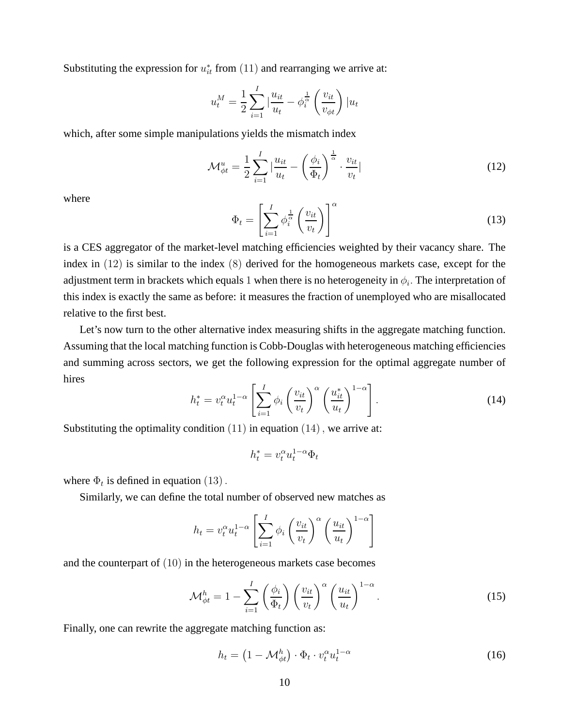Substituting the expression for  $u_{it}^*$  from  $(11)$  and rearranging we arrive at:

$$
u_t^M = \frac{1}{2} \sum_{i=1}^I \left| \frac{u_{it}}{u_t} - \phi_i^{\frac{1}{\alpha}} \left( \frac{v_{it}}{v_{\phi t}} \right) \right| u_t
$$

which, after some simple manipulations yields the mismatch index

$$
\mathcal{M}_{\phi t}^{u} = \frac{1}{2} \sum_{i=1}^{I} \left| \frac{u_{it}}{u_t} - \left( \frac{\phi_i}{\Phi_t} \right)^{\frac{1}{\alpha}} \cdot \frac{v_{it}}{v_t} \right| \tag{12}
$$

where

$$
\Phi_t = \left[\sum_{i=1}^I \phi_i^{\frac{1}{\alpha}} \left(\frac{v_{it}}{v_t}\right)\right]^\alpha \tag{13}
$$

is a CES aggregator of the market-level matching efficiencies weighted by their vacancy share. The index in (12) is similar to the index (8) derived for the homogeneous markets case, except for the adjustment term in brackets which equals  $1$  when there is no heterogeneity in  $\phi_i.$  The interpretation of this index is exactly the same as before: it measures the fraction of unemployed who are misallocated relative to the first best.

Let's now turn to the other alternative index measuring shifts in the aggregate matching function. Assuming that the local matching function is Cobb-Douglas with heterogeneous matching efficiencies and summing across sectors, we get the following expression for the optimal aggregate number of hires

$$
h_t^* = v_t^\alpha u_t^{1-\alpha} \left[ \sum_{i=1}^I \phi_i \left( \frac{v_{it}}{v_t} \right)^\alpha \left( \frac{u_{it}^*}{u_t} \right)^{1-\alpha} \right]. \tag{14}
$$

Substituting the optimality condition  $(11)$  in equation  $(14)$ , we arrive at:

 $h_t^* = v_t^{\alpha} u_t^{1-\alpha} \Phi_t$ 

where  $\Phi_t$  is defined in equation (13).

Similarly, we can define the total number of observed new matches as

$$
h_t = v_t^{\alpha} u_t^{1-\alpha} \left[ \sum_{i=1}^I \phi_i \left( \frac{v_{it}}{v_t} \right)^{\alpha} \left( \frac{u_{it}}{u_t} \right)^{1-\alpha} \right]
$$

and the counterpart of (10) in the heterogeneous markets case becomes

$$
\mathcal{M}_{\phi t}^{h} = 1 - \sum_{i=1}^{I} \left(\frac{\phi_{i}}{\Phi_{t}}\right) \left(\frac{v_{it}}{v_{t}}\right)^{\alpha} \left(\frac{u_{it}}{u_{t}}\right)^{1-\alpha}.
$$
 (15)

Finally, one can rewrite the aggregate matching function as:

$$
h_t = \left(1 - \mathcal{M}^h_{\phi t}\right) \cdot \Phi_t \cdot v_t^{\alpha} u_t^{1-\alpha} \tag{16}
$$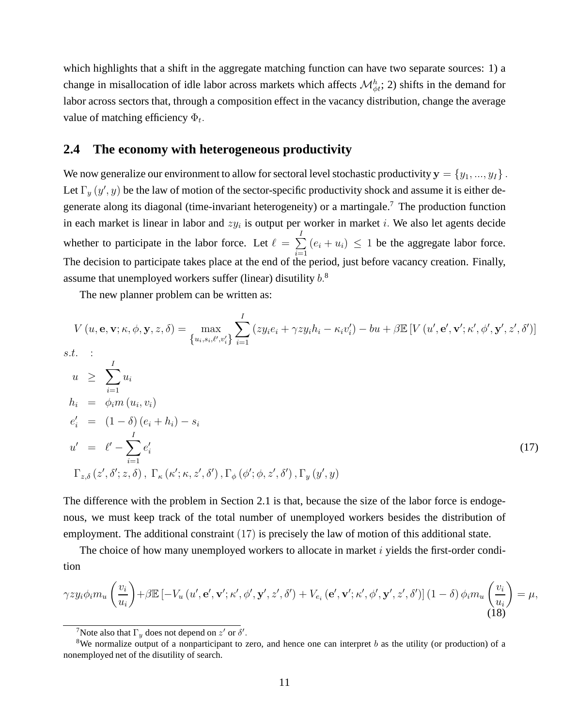which highlights that a shift in the aggregate matching function can have two separate sources: 1) a change in misallocation of idle labor across markets which affects  $\mathcal{M}_{\phi t}^h$ ; 2) shifts in the demand for labor across sectors that, through a composition effect in the vacancy distribution, change the average value of matching efficiency  $\Phi_t$ .

### **2.4 The economy with heterogeneous productivity**

We now generalize our environment to allow for sectoral level stochastic productivity  $y = \{y_1, ..., y_I\}$ . Let  $\Gamma_y(y', y)$  be the law of motion of the sector-specific productivity shock and assume it is either degenerate along its diagonal (time-invariant heterogeneity) or a martingale.<sup>7</sup> The production function in each market is linear in labor and  $zy_i$  is output per worker in market i. We also let agents decide whether to participate in the labor force. Let  $\ell = \sum$ I  $i=1$  $(e_i + u_i) \leq 1$  be the aggregate labor force. The decision to participate takes place at the end of the period, just before vacancy creation. Finally, assume that unemployed workers suffer (linear) disutility  $b^8$ .

The new planner problem can be written as:

$$
V(u, \mathbf{e}, \mathbf{v}; \kappa, \phi, \mathbf{y}, z, \delta) = \max_{\{u_i, s_i, \ell', v_i'\}} \sum_{i=1}^{I} (zy_i e_i + \gamma z y_i h_i - \kappa_i v_i') - bu + \beta \mathbb{E}[V(u', \mathbf{e}', \mathbf{v}'; \kappa', \phi', \mathbf{y}', z', \delta')]
$$
  
s.t. :  

$$
u \geq \sum_{i=1}^{I} u_i
$$
  

$$
h_i = \phi_i m(u_i, v_i)
$$
  

$$
e'_i = (1 - \delta) (e_i + h_i) - s_i
$$
  

$$
u' = \ell' - \sum_{i=1}^{I} e'_i
$$
  

$$
\Gamma_{z, \delta}(z', \delta'; z, \delta), \Gamma_{\kappa}(\kappa'; \kappa, z', \delta'), \Gamma_{\phi}(\phi'; \phi, z', \delta'), \Gamma_{y}(y', y)
$$
 (17)

The difference with the problem in Section 2.1 is that, because the size of the labor force is endogenous, we must keep track of the total number of unemployed workers besides the distribution of employment. The additional constraint (17) is precisely the law of motion of this additional state.

The choice of how many unemployed workers to allocate in market  $i$  yields the first-order condition

$$
\gamma z y_i \phi_i m_u \left(\frac{v_i}{u_i}\right) + \beta \mathbb{E}\left[-V_u\left(u',\mathbf{e}',\mathbf{v}';\kappa',\phi',\mathbf{y}',z',\delta'\right) + V_{e_i}\left(\mathbf{e}',\mathbf{v}';\kappa',\phi',\mathbf{y}',z',\delta'\right)\right] \left(1-\delta\right) \phi_i m_u \left(\frac{v_i}{u_i}\right) = \mu, \tag{18}
$$

<sup>&</sup>lt;sup>7</sup>Note also that  $\Gamma_y$  does not depend on  $z'$  or  $\delta'$ .

<sup>&</sup>lt;sup>8</sup>We normalize output of a nonparticipant to zero, and hence one can interpret b as the utility (or production) of a nonemployed net of the disutility of search.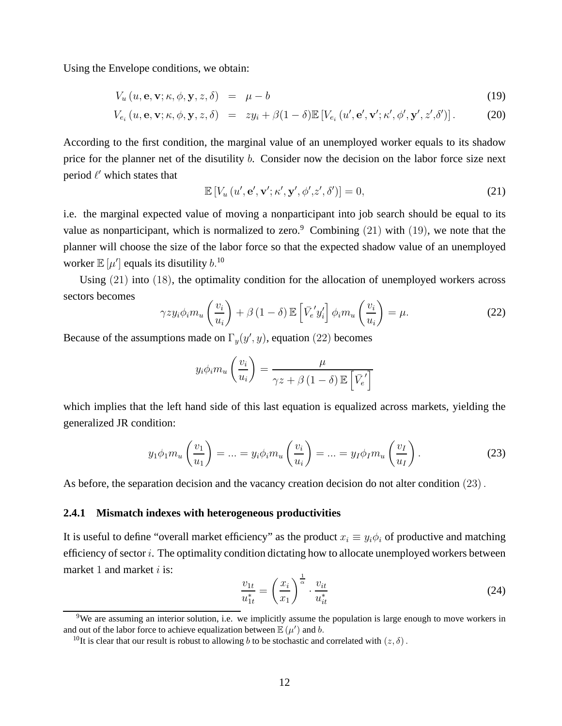Using the Envelope conditions, we obtain:

$$
V_u(u, \mathbf{e}, \mathbf{v}; \kappa, \phi, \mathbf{y}, z, \delta) = \mu - b \tag{19}
$$

$$
V_{e_i}(u, \mathbf{e}, \mathbf{v}; \kappa, \phi, \mathbf{y}, z, \delta) = z y_i + \beta (1 - \delta) \mathbb{E} \left[ V_{e_i}(u', \mathbf{e}', \mathbf{v}'; \kappa', \phi', \mathbf{y}', z', \delta') \right]. \tag{20}
$$

According to the first condition, the marginal value of an unemployed worker equals to its shadow price for the planner net of the disutility b. Consider now the decision on the labor force size next period  $\ell'$  which states that

$$
\mathbb{E}\left[V_u\left(u',\mathbf{e}',\mathbf{v}';\kappa',\mathbf{y}',\phi',z',\delta'\right)\right]=0,\tag{21}
$$

i.e. the marginal expected value of moving a nonparticipant into job search should be equal to its value as nonparticipant, which is normalized to zero.<sup>9</sup> Combining (21) with (19), we note that the planner will choose the size of the labor force so that the expected shadow value of an unemployed worker  $\mathbb{E}\left[\mu'\right]$  equals its disutility  $b^{10}$ .

Using (21) into (18), the optimality condition for the allocation of unemployed workers across sectors becomes

$$
\gamma z y_i \phi_i m_u \left(\frac{v_i}{u_i}\right) + \beta \left(1 - \delta\right) \mathbb{E} \left[\bar{V}_e' y_i'\right] \phi_i m_u \left(\frac{v_i}{u_i}\right) = \mu. \tag{22}
$$

Because of the assumptions made on  $\Gamma_y(y', y)$ , equation (22) becomes

$$
y_i \phi_i m_u \left(\frac{v_i}{u_i}\right) = \frac{\mu}{\gamma z + \beta (1 - \delta) \mathbb{E} \left[\bar{V}_e^{\prime}\right]}
$$

which implies that the left hand side of this last equation is equalized across markets, yielding the generalized JR condition:

$$
y_1 \phi_1 m_u \left(\frac{v_1}{u_1}\right) = \dots = y_i \phi_i m_u \left(\frac{v_i}{u_i}\right) = \dots = y_I \phi_I m_u \left(\frac{v_I}{u_I}\right). \tag{23}
$$

As before, the separation decision and the vacancy creation decision do not alter condition (23).

#### **2.4.1 Mismatch indexes with heterogeneous productivities**

It is useful to define "overall market efficiency" as the product  $x_i \equiv y_i \phi_i$  of productive and matching efficiency of sector  $i$ . The optimality condition dictating how to allocate unemployed workers between market 1 and market  $i$  is:

$$
\frac{v_{1t}}{u_{1t}^*} = \left(\frac{x_i}{x_1}\right)^{\frac{1}{\alpha}} \cdot \frac{v_{it}}{u_{it}^*}
$$
\n(24)

<sup>&</sup>lt;sup>9</sup>We are assuming an interior solution, i.e. we implicitly assume the population is large enough to move workers in and out of the labor force to achieve equalization between  $\mathbb{E}(\mu')$  and b.

<sup>&</sup>lt;sup>10</sup>It is clear that our result is robust to allowing b to be stochastic and correlated with  $(z, \delta)$ .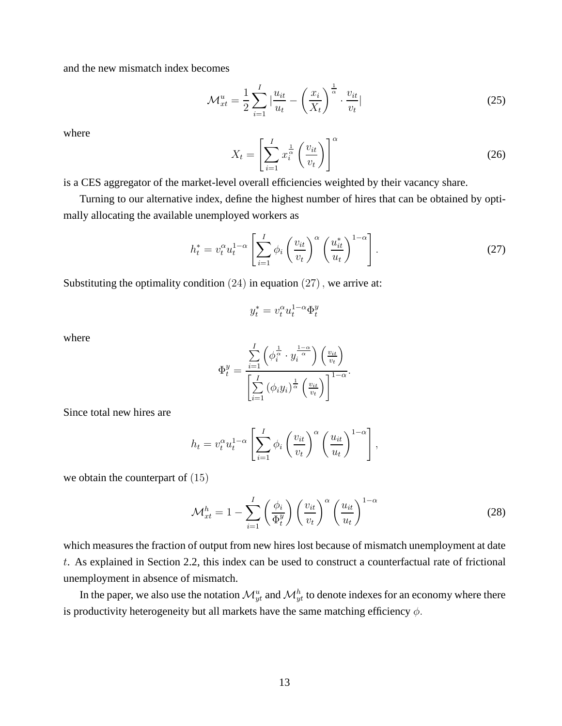and the new mismatch index becomes

$$
\mathcal{M}_{xt}^u = \frac{1}{2} \sum_{i=1}^I \left| \frac{u_{it}}{u_t} - \left( \frac{x_i}{X_t} \right)^{\frac{1}{\alpha}} \cdot \frac{v_{it}}{v_t} \right| \tag{25}
$$

where

$$
X_t = \left[\sum_{i=1}^I x_i^{\frac{1}{\alpha}} \left(\frac{v_{it}}{v_t}\right)\right]^\alpha \tag{26}
$$

is a CES aggregator of the market-level overall efficiencies weighted by their vacancy share.

Turning to our alternative index, define the highest number of hires that can be obtained by optimally allocating the available unemployed workers as

$$
h_t^* = v_t^\alpha u_t^{1-\alpha} \left[ \sum_{i=1}^I \phi_i \left( \frac{v_{it}}{v_t} \right)^\alpha \left( \frac{u_{it}^*}{u_t} \right)^{1-\alpha} \right]. \tag{27}
$$

Substituting the optimality condition  $(24)$  in equation  $(27)$ , we arrive at:

$$
y_t^* = v_t^{\alpha} u_t^{1-\alpha} \Phi_t^y
$$

where

$$
\Phi_t^y = \frac{\sum\limits_{i=1}^I \left(\phi_i^{\frac{1}{\alpha}} \cdot y_i^{\frac{1-\alpha}{\alpha}}\right) \left(\frac{v_{it}}{v_t}\right)}{\left[\sum\limits_{i=1}^I \left(\phi_i y_i\right)^{\frac{1}{\alpha}} \left(\frac{v_{it}}{v_t}\right)\right]^{1-\alpha}}.
$$

Since total new hires are

$$
h_t = v_t^{\alpha} u_t^{1-\alpha} \left[ \sum_{i=1}^I \phi_i \left( \frac{v_{it}}{v_t} \right)^{\alpha} \left( \frac{u_{it}}{u_t} \right)^{1-\alpha} \right],
$$

we obtain the counterpart of (15)

$$
\mathcal{M}_{xt}^{h} = 1 - \sum_{i=1}^{I} \left(\frac{\phi_i}{\Phi_t^y}\right) \left(\frac{v_{it}}{v_t}\right)^{\alpha} \left(\frac{u_{it}}{u_t}\right)^{1-\alpha} \tag{28}
$$

which measures the fraction of output from new hires lost because of mismatch unemployment at date t. As explained in Section 2.2, this index can be used to construct a counterfactual rate of frictional unemployment in absence of mismatch.

In the paper, we also use the notation  $\mathcal{M}_{yt}^u$  and  $\mathcal{M}_{yt}^h$  to denote indexes for an economy where there is productivity heterogeneity but all markets have the same matching efficiency  $\phi$ .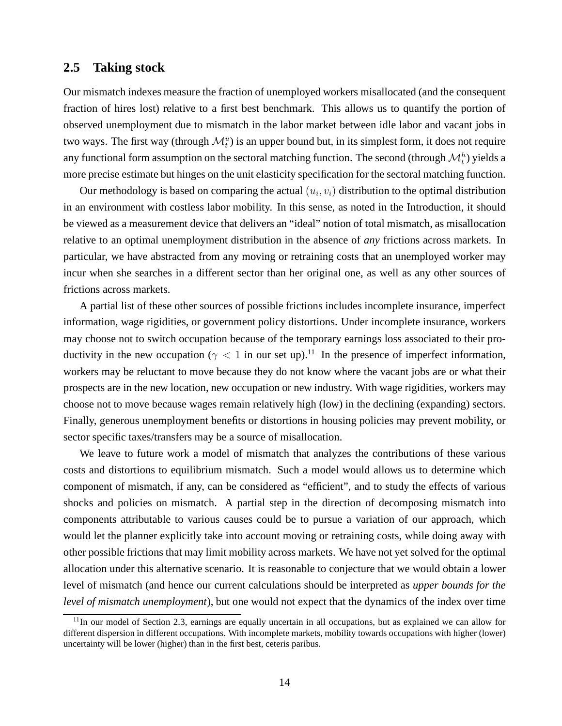### **2.5 Taking stock**

Our mismatch indexes measure the fraction of unemployed workers misallocated (and the consequent fraction of hires lost) relative to a first best benchmark. This allows us to quantify the portion of observed unemployment due to mismatch in the labor market between idle labor and vacant jobs in two ways. The first way (through  $\mathcal{M}_t^u$ ) is an upper bound but, in its simplest form, it does not require any functional form assumption on the sectoral matching function. The second (through  $\mathcal{M}_t^h$ ) yields a more precise estimate but hinges on the unit elasticity specification for the sectoral matching function.

Our methodology is based on comparing the actual  $(u_i, v_i)$  distribution to the optimal distribution in an environment with costless labor mobility. In this sense, as noted in the Introduction, it should be viewed as a measurement device that delivers an "ideal" notion of total mismatch, as misallocation relative to an optimal unemployment distribution in the absence of *any* frictions across markets. In particular, we have abstracted from any moving or retraining costs that an unemployed worker may incur when she searches in a different sector than her original one, as well as any other sources of frictions across markets.

A partial list of these other sources of possible frictions includes incomplete insurance, imperfect information, wage rigidities, or government policy distortions. Under incomplete insurance, workers may choose not to switch occupation because of the temporary earnings loss associated to their productivity in the new occupation ( $\gamma$  < 1 in our set up).<sup>11</sup> In the presence of imperfect information, workers may be reluctant to move because they do not know where the vacant jobs are or what their prospects are in the new location, new occupation or new industry. With wage rigidities, workers may choose not to move because wages remain relatively high (low) in the declining (expanding) sectors. Finally, generous unemployment benefits or distortions in housing policies may prevent mobility, or sector specific taxes/transfers may be a source of misallocation.

We leave to future work a model of mismatch that analyzes the contributions of these various costs and distortions to equilibrium mismatch. Such a model would allows us to determine which component of mismatch, if any, can be considered as "efficient", and to study the effects of various shocks and policies on mismatch. A partial step in the direction of decomposing mismatch into components attributable to various causes could be to pursue a variation of our approach, which would let the planner explicitly take into account moving or retraining costs, while doing away with other possible frictions that may limit mobility across markets. We have not yet solved for the optimal allocation under this alternative scenario. It is reasonable to conjecture that we would obtain a lower level of mismatch (and hence our current calculations should be interpreted as *upper bounds for the level of mismatch unemployment*), but one would not expect that the dynamics of the index over time

 $11$ In our model of Section 2.3, earnings are equally uncertain in all occupations, but as explained we can allow for different dispersion in different occupations. With incomplete markets, mobility towards occupations with higher (lower) uncertainty will be lower (higher) than in the first best, ceteris paribus.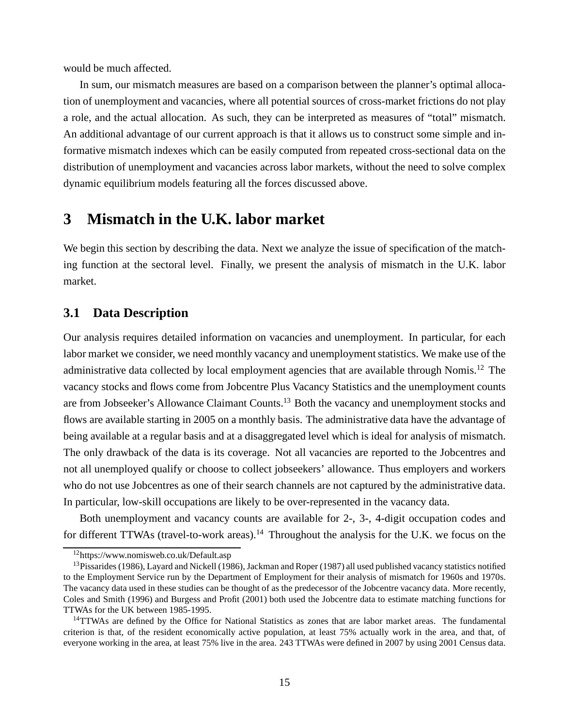would be much affected.

In sum, our mismatch measures are based on a comparison between the planner's optimal allocation of unemployment and vacancies, where all potential sources of cross-market frictions do not play a role, and the actual allocation. As such, they can be interpreted as measures of "total" mismatch. An additional advantage of our current approach is that it allows us to construct some simple and informative mismatch indexes which can be easily computed from repeated cross-sectional data on the distribution of unemployment and vacancies across labor markets, without the need to solve complex dynamic equilibrium models featuring all the forces discussed above.

### **3 Mismatch in the U.K. labor market**

We begin this section by describing the data. Next we analyze the issue of specification of the matching function at the sectoral level. Finally, we present the analysis of mismatch in the U.K. labor market.

### **3.1 Data Description**

Our analysis requires detailed information on vacancies and unemployment. In particular, for each labor market we consider, we need monthly vacancy and unemployment statistics. We make use of the administrative data collected by local employment agencies that are available through Nomis.<sup>12</sup> The vacancy stocks and flows come from Jobcentre Plus Vacancy Statistics and the unemployment counts are from Jobseeker's Allowance Claimant Counts.<sup>13</sup> Both the vacancy and unemployment stocks and flows are available starting in 2005 on a monthly basis. The administrative data have the advantage of being available at a regular basis and at a disaggregated level which is ideal for analysis of mismatch. The only drawback of the data is its coverage. Not all vacancies are reported to the Jobcentres and not all unemployed qualify or choose to collect jobseekers' allowance. Thus employers and workers who do not use Jobcentres as one of their search channels are not captured by the administrative data. In particular, low-skill occupations are likely to be over-represented in the vacancy data.

Both unemployment and vacancy counts are available for 2-, 3-, 4-digit occupation codes and for different TTWAs (travel-to-work areas).<sup>14</sup> Throughout the analysis for the U.K. we focus on the

<sup>12</sup>https://www.nomisweb.co.uk/Default.asp

 $13P$ issarides (1986), Layard and Nickell (1986), Jackman and Roper (1987) all used published vacancy statistics notified to the Employment Service run by the Department of Employment for their analysis of mismatch for 1960s and 1970s. The vacancy data used in these studies can be thought of as the predecessor of the Jobcentre vacancy data. More recently, Coles and Smith (1996) and Burgess and Profit (2001) both used the Jobcentre data to estimate matching functions for TTWAs for the UK between 1985-1995.

<sup>&</sup>lt;sup>14</sup>TTWAs are defined by the Office for National Statistics as zones that are labor market areas. The fundamental criterion is that, of the resident economically active population, at least 75% actually work in the area, and that, of everyone working in the area, at least 75% live in the area. 243 TTWAs were defined in 2007 by using 2001 Census data.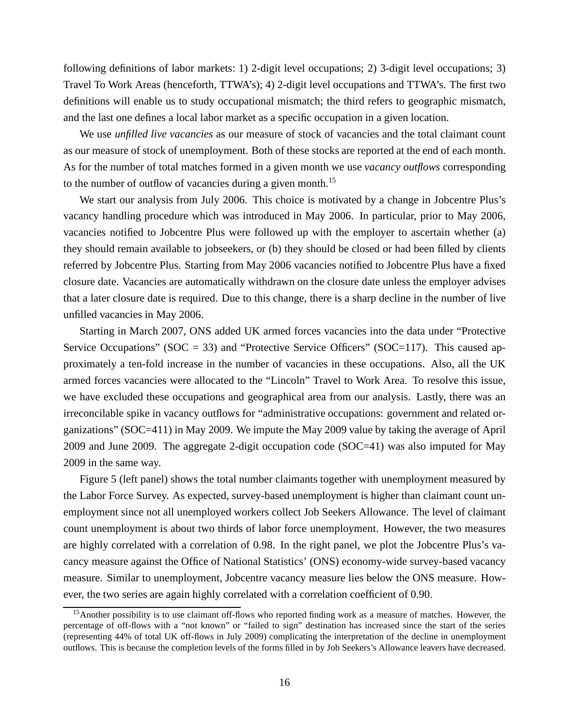following definitions of labor markets: 1) 2-digit level occupations; 2) 3-digit level occupations; 3) Travel To Work Areas (henceforth, TTWA's); 4) 2-digit level occupations and TTWA's. The first two definitions will enable us to study occupational mismatch; the third refers to geographic mismatch, and the last one defines a local labor market as a specific occupation in a given location.

We use *unfilled live vacancies* as our measure of stock of vacancies and the total claimant count as our measure of stock of unemployment. Both of these stocks are reported at the end of each month. As for the number of total matches formed in a given month we use *vacancy outflows* corresponding to the number of outflow of vacancies during a given month.<sup>15</sup>

We start our analysis from July 2006. This choice is motivated by a change in Jobcentre Plus's vacancy handling procedure which was introduced in May 2006. In particular, prior to May 2006, vacancies notified to Jobcentre Plus were followed up with the employer to ascertain whether (a) they should remain available to jobseekers, or (b) they should be closed or had been filled by clients referred by Jobcentre Plus. Starting from May 2006 vacancies notified to Jobcentre Plus have a fixed closure date. Vacancies are automatically withdrawn on the closure date unless the employer advises that a later closure date is required. Due to this change, there is a sharp decline in the number of live unfilled vacancies in May 2006.

Starting in March 2007, ONS added UK armed forces vacancies into the data under "Protective Service Occupations" ( $SOC = 33$ ) and "Protective Service Officers" ( $SOC=117$ ). This caused approximately a ten-fold increase in the number of vacancies in these occupations. Also, all the UK armed forces vacancies were allocated to the "Lincoln" Travel to Work Area. To resolve this issue, we have excluded these occupations and geographical area from our analysis. Lastly, there was an irreconcilable spike in vacancy outflows for "administrative occupations: government and related organizations" (SOC=411) in May 2009. We impute the May 2009 value by taking the average of April 2009 and June 2009. The aggregate 2-digit occupation code (SOC=41) was also imputed for May 2009 in the same way.

Figure 5 (left panel) shows the total number claimants together with unemployment measured by the Labor Force Survey. As expected, survey-based unemployment is higher than claimant count unemployment since not all unemployed workers collect Job Seekers Allowance. The level of claimant count unemployment is about two thirds of labor force unemployment. However, the two measures are highly correlated with a correlation of 0.98. In the right panel, we plot the Jobcentre Plus's vacancy measure against the Office of National Statistics' (ONS) economy-wide survey-based vacancy measure. Similar to unemployment, Jobcentre vacancy measure lies below the ONS measure. However, the two series are again highly correlated with a correlation coefficient of 0.90.

<sup>&</sup>lt;sup>15</sup>Another possibility is to use claimant off-flows who reported finding work as a measure of matches. However, the percentage of off-flows with a "not known" or "failed to sign" destination has increased since the start of the series (representing 44% of total UK off-flows in July 2009) complicating the interpretation of the decline in unemployment outflows. This is because the completion levels of the forms filled in by Job Seekers's Allowance leavers have decreased.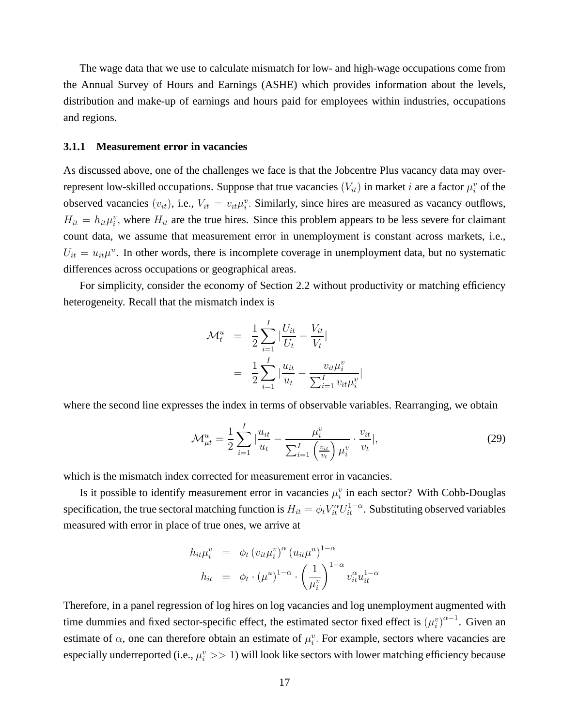The wage data that we use to calculate mismatch for low- and high-wage occupations come from the Annual Survey of Hours and Earnings (ASHE) which provides information about the levels, distribution and make-up of earnings and hours paid for employees within industries, occupations and regions.

#### **3.1.1 Measurement error in vacancies**

As discussed above, one of the challenges we face is that the Jobcentre Plus vacancy data may overrepresent low-skilled occupations. Suppose that true vacancies  $(V_{it})$  in market i are a factor  $\mu_i^v$  of the observed vacancies  $(v_{it})$ , i.e.,  $V_{it} = v_{it} \mu_i^v$ . Similarly, since hires are measured as vacancy outflows,  $H_{it} = h_{it} \mu_i^v$ , where  $H_{it}$  are the true hires. Since this problem appears to be less severe for claimant count data, we assume that measurement error in unemployment is constant across markets, i.e.,  $U_{it} = u_{it} \mu^u$ . In other words, there is incomplete coverage in unemployment data, but no systematic differences across occupations or geographical areas.

For simplicity, consider the economy of Section 2.2 without productivity or matching efficiency heterogeneity. Recall that the mismatch index is

$$
\mathcal{M}_t^u = \frac{1}{2} \sum_{i=1}^I \left| \frac{U_{it}}{U_t} - \frac{V_{it}}{V_t} \right|
$$
  
= 
$$
\frac{1}{2} \sum_{i=1}^I \left| \frac{u_{it}}{u_t} - \frac{v_{it} \mu_i^v}{\sum_{i=1}^I v_{it} \mu_i^v} \right|
$$

where the second line expresses the index in terms of observable variables. Rearranging, we obtain

$$
\mathcal{M}_{\mu t}^{u} = \frac{1}{2} \sum_{i=1}^{I} \left| \frac{u_{it}}{u_{t}} - \frac{\mu_{i}^{v}}{\sum_{i=1}^{I} \left( \frac{v_{it}}{v_{t}} \right) \mu_{i}^{v}} \cdot \frac{v_{it}}{v_{t}} \right|, \tag{29}
$$

which is the mismatch index corrected for measurement error in vacancies.

Is it possible to identify measurement error in vacancies  $\mu_i^v$  in each sector? With Cobb-Douglas specification, the true sectoral matching function is  $H_{it} = \phi_t V_{it}^\alpha U_{it}^{1-\alpha}$ . Substituting observed variables measured with error in place of true ones, we arrive at

$$
h_{it}\mu_i^v = \phi_t (v_{it}\mu_i^v)^\alpha (u_{it}\mu^u)^{1-\alpha}
$$
  

$$
h_{it} = \phi_t \cdot (\mu^u)^{1-\alpha} \cdot \left(\frac{1}{\mu_i^v}\right)^{1-\alpha} v_{it}^\alpha u_{it}^{1-\alpha}
$$

Therefore, in a panel regression of log hires on log vacancies and log unemployment augmented with time dummies and fixed sector-specific effect, the estimated sector fixed effect is  $(\mu_i^v)^{\alpha-1}$ . Given an estimate of  $\alpha$ , one can therefore obtain an estimate of  $\mu_i^v$ . For example, sectors where vacancies are especially underreported (i.e.,  $\mu_i^v >> 1$ ) will look like sectors with lower matching efficiency because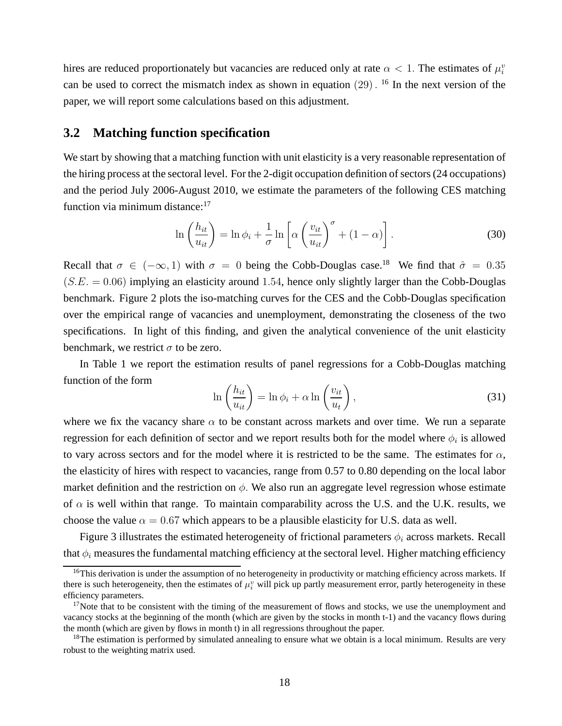hires are reduced proportionately but vacancies are reduced only at rate  $\alpha < 1$ . The estimates of  $\mu_i^v$ can be used to correct the mismatch index as shown in equation  $(29)$ . <sup>16</sup> In the next version of the paper, we will report some calculations based on this adjustment.

### **3.2 Matching function specification**

We start by showing that a matching function with unit elasticity is a very reasonable representation of the hiring process at the sectoral level. For the 2-digit occupation definition of sectors (24 occupations) and the period July 2006-August 2010, we estimate the parameters of the following CES matching function via minimum distance:<sup>17</sup>

$$
\ln\left(\frac{h_{it}}{u_{it}}\right) = \ln\phi_i + \frac{1}{\sigma}\ln\left[\alpha\left(\frac{v_{it}}{u_{it}}\right)^\sigma + (1-\alpha)\right].\tag{30}
$$

Recall that  $\sigma \in (-\infty, 1)$  with  $\sigma = 0$  being the Cobb-Douglas case.<sup>18</sup> We find that  $\hat{\sigma} = 0.35$  $(S.E. = 0.06)$  implying an elasticity around 1.54, hence only slightly larger than the Cobb-Douglas benchmark. Figure 2 plots the iso-matching curves for the CES and the Cobb-Douglas specification over the empirical range of vacancies and unemployment, demonstrating the closeness of the two specifications. In light of this finding, and given the analytical convenience of the unit elasticity benchmark, we restrict  $\sigma$  to be zero.

In Table 1 we report the estimation results of panel regressions for a Cobb-Douglas matching function of the form

$$
\ln\left(\frac{h_{it}}{u_{it}}\right) = \ln\phi_i + \alpha \ln\left(\frac{v_{it}}{u_t}\right),\tag{31}
$$

where we fix the vacancy share  $\alpha$  to be constant across markets and over time. We run a separate regression for each definition of sector and we report results both for the model where  $\phi_i$  is allowed to vary across sectors and for the model where it is restricted to be the same. The estimates for  $\alpha$ , the elasticity of hires with respect to vacancies, range from 0.57 to 0.80 depending on the local labor market definition and the restriction on  $\phi$ . We also run an aggregate level regression whose estimate of  $\alpha$  is well within that range. To maintain comparability across the U.S. and the U.K. results, we choose the value  $\alpha = 0.67$  which appears to be a plausible elasticity for U.S. data as well.

Figure 3 illustrates the estimated heterogeneity of frictional parameters  $\phi_i$  across markets. Recall that  $\phi_i$  measures the fundamental matching efficiency at the sectoral level. Higher matching efficiency

 $16$ This derivation is under the assumption of no heterogeneity in productivity or matching efficiency across markets. If there is such heterogeneity, then the estimates of  $\mu_i^v$  will pick up partly measurement error, partly heterogeneity in these efficiency parameters.

 $17$ Note that to be consistent with the timing of the measurement of flows and stocks, we use the unemployment and vacancy stocks at the beginning of the month (which are given by the stocks in month t-1) and the vacancy flows during the month (which are given by flows in month t) in all regressions throughout the paper.

<sup>&</sup>lt;sup>18</sup>The estimation is performed by simulated annealing to ensure what we obtain is a local minimum. Results are very robust to the weighting matrix used.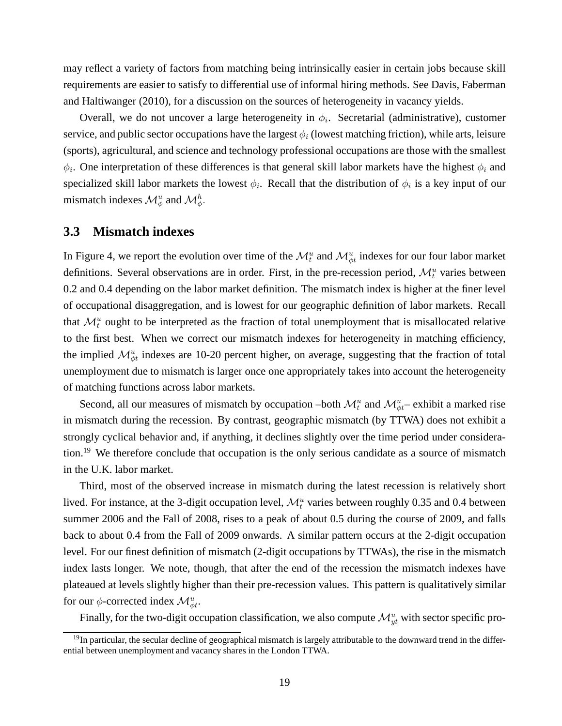may reflect a variety of factors from matching being intrinsically easier in certain jobs because skill requirements are easier to satisfy to differential use of informal hiring methods. See Davis, Faberman and Haltiwanger (2010), for a discussion on the sources of heterogeneity in vacancy yields.

Overall, we do not uncover a large heterogeneity in  $\phi_i$ . Secretarial (administrative), customer service, and public sector occupations have the largest  $\phi_i$  (lowest matching friction), while arts, leisure (sports), agricultural, and science and technology professional occupations are those with the smallest  $\phi_i$ . One interpretation of these differences is that general skill labor markets have the highest  $\phi_i$  and specialized skill labor markets the lowest  $\phi_i$ . Recall that the distribution of  $\phi_i$  is a key input of our mismatch indexes  $\mathcal{M}_{\phi}^u$  and  $\mathcal{M}_{\phi}^h$ .

### **3.3 Mismatch indexes**

In Figure 4, we report the evolution over time of the  $\mathcal{M}_t^u$  and  $\mathcal{M}_{\phi t}^u$  indexes for our four labor market definitions. Several observations are in order. First, in the pre-recession period,  $\mathcal{M}_t^u$  varies between 0.2 and 0.4 depending on the labor market definition. The mismatch index is higher at the finer level of occupational disaggregation, and is lowest for our geographic definition of labor markets. Recall that  $\mathcal{M}_t^u$  ought to be interpreted as the fraction of total unemployment that is misallocated relative to the first best. When we correct our mismatch indexes for heterogeneity in matching efficiency, the implied  $\mathcal{M}_{\phi t}^u$  indexes are 10-20 percent higher, on average, suggesting that the fraction of total unemployment due to mismatch is larger once one appropriately takes into account the heterogeneity of matching functions across labor markets.

Second, all our measures of mismatch by occupation –both  $\mathcal{M}_t^u$  and  $\mathcal{M}_{\phi t}^u$  – exhibit a marked rise in mismatch during the recession. By contrast, geographic mismatch (by TTWA) does not exhibit a strongly cyclical behavior and, if anything, it declines slightly over the time period under consideration.<sup>19</sup> We therefore conclude that occupation is the only serious candidate as a source of mismatch in the U.K. labor market.

Third, most of the observed increase in mismatch during the latest recession is relatively short lived. For instance, at the 3-digit occupation level,  $\mathcal{M}_t^u$  varies between roughly 0.35 and 0.4 between summer 2006 and the Fall of 2008, rises to a peak of about 0.5 during the course of 2009, and falls back to about 0.4 from the Fall of 2009 onwards. A similar pattern occurs at the 2-digit occupation level. For our finest definition of mismatch (2-digit occupations by TTWAs), the rise in the mismatch index lasts longer. We note, though, that after the end of the recession the mismatch indexes have plateaued at levels slightly higher than their pre-recession values. This pattern is qualitatively similar for our  $\phi$ -corrected index  $\mathcal{M}_{\phi t}^u$ .

Finally, for the two-digit occupation classification, we also compute  $\mathcal{M}_{yt}^u$  with sector specific pro-

 $19$ In particular, the secular decline of geographical mismatch is largely attributable to the downward trend in the differential between unemployment and vacancy shares in the London TTWA.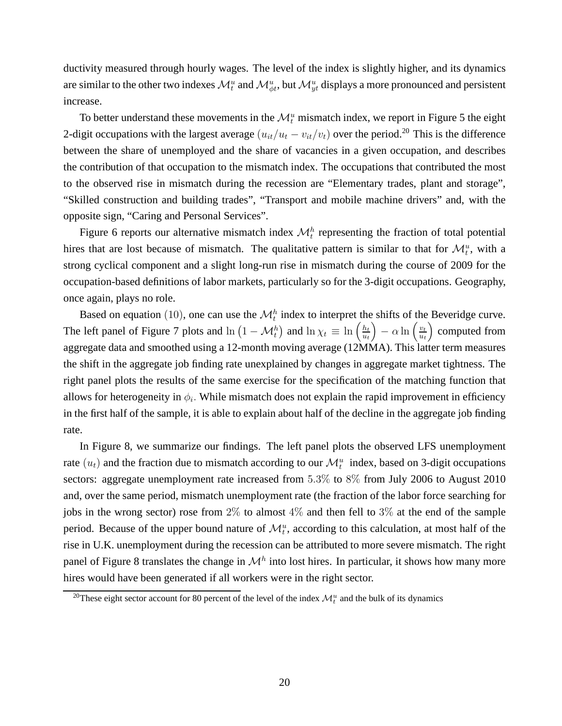ductivity measured through hourly wages. The level of the index is slightly higher, and its dynamics are similar to the other two indexes  $\mathcal{M}_t^u$  and  $\mathcal{M}_{\phi t}^u$ , but  $\mathcal{M}_{yt}^u$  displays a more pronounced and persistent increase.

To better understand these movements in the  $\mathcal{M}_t^u$  mismatch index, we report in Figure 5 the eight 2-digit occupations with the largest average  $(u_{it}/u_t - v_{it}/v_t)$  over the period.<sup>20</sup> This is the difference between the share of unemployed and the share of vacancies in a given occupation, and describes the contribution of that occupation to the mismatch index. The occupations that contributed the most to the observed rise in mismatch during the recession are "Elementary trades, plant and storage", "Skilled construction and building trades", "Transport and mobile machine drivers" and, with the opposite sign, "Caring and Personal Services".

Figure 6 reports our alternative mismatch index  $\mathcal{M}_t^h$  representing the fraction of total potential hires that are lost because of mismatch. The qualitative pattern is similar to that for  $\mathcal{M}_t^u$ , with a strong cyclical component and a slight long-run rise in mismatch during the course of 2009 for the occupation-based definitions of labor markets, particularly so for the 3-digit occupations. Geography, once again, plays no role.

Based on equation (10), one can use the  $\mathcal{M}_t^h$  index to interpret the shifts of the Beveridge curve. The left panel of Figure 7 plots and  $\ln (1 - \mathcal{M}_t^h)$  and  $\ln \chi_t \equiv \ln \left( \frac{h_t}{u_t} \right)$  $\left(\frac{h_t}{u_t}\right) - \alpha \ln \left(\frac{v_t}{u_t}\right)$  $\frac{v_t}{u_t}$  computed from aggregate data and smoothed using a 12-month moving average (12MMA). This latter term measures the shift in the aggregate job finding rate unexplained by changes in aggregate market tightness. The right panel plots the results of the same exercise for the specification of the matching function that allows for heterogeneity in  $\phi_i$ . While mismatch does not explain the rapid improvement in efficiency in the first half of the sample, it is able to explain about half of the decline in the aggregate job finding rate.

In Figure 8, we summarize our findings. The left panel plots the observed LFS unemployment rate  $(u_t)$  and the fraction due to mismatch according to our  $\mathcal{M}_t^u$  index, based on 3-digit occupations sectors: aggregate unemployment rate increased from 5.3% to 8% from July 2006 to August 2010 and, over the same period, mismatch unemployment rate (the fraction of the labor force searching for jobs in the wrong sector) rose from  $2\%$  to almost  $4\%$  and then fell to  $3\%$  at the end of the sample period. Because of the upper bound nature of  $\mathcal{M}_t^u$ , according to this calculation, at most half of the rise in U.K. unemployment during the recession can be attributed to more severe mismatch. The right panel of Figure 8 translates the change in  $\mathcal{M}^h$  into lost hires. In particular, it shows how many more hires would have been generated if all workers were in the right sector.

<sup>&</sup>lt;sup>20</sup>These eight sector account for 80 percent of the level of the index  $\mathcal{M}_t^u$  and the bulk of its dynamics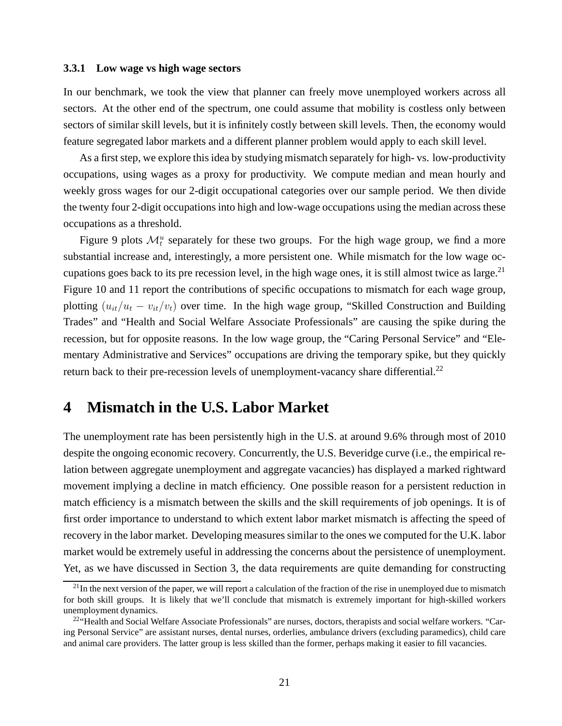#### **3.3.1 Low wage vs high wage sectors**

In our benchmark, we took the view that planner can freely move unemployed workers across all sectors. At the other end of the spectrum, one could assume that mobility is costless only between sectors of similar skill levels, but it is infinitely costly between skill levels. Then, the economy would feature segregated labor markets and a different planner problem would apply to each skill level.

As a first step, we explore this idea by studying mismatch separately for high- vs. low-productivity occupations, using wages as a proxy for productivity. We compute median and mean hourly and weekly gross wages for our 2-digit occupational categories over our sample period. We then divide the twenty four 2-digit occupations into high and low-wage occupations using the median across these occupations as a threshold.

Figure 9 plots  $\mathcal{M}_t^u$  separately for these two groups. For the high wage group, we find a more substantial increase and, interestingly, a more persistent one. While mismatch for the low wage occupations goes back to its pre recession level, in the high wage ones, it is still almost twice as large.<sup>21</sup> Figure 10 and 11 report the contributions of specific occupations to mismatch for each wage group, plotting  $(u_{it}/u_t - v_{it}/v_t)$  over time. In the high wage group, "Skilled Construction and Building Trades" and "Health and Social Welfare Associate Professionals" are causing the spike during the recession, but for opposite reasons. In the low wage group, the "Caring Personal Service" and "Elementary Administrative and Services" occupations are driving the temporary spike, but they quickly return back to their pre-recession levels of unemployment-vacancy share differential.<sup>22</sup>

### **4 Mismatch in the U.S. Labor Market**

The unemployment rate has been persistently high in the U.S. at around 9.6% through most of 2010 despite the ongoing economic recovery. Concurrently, the U.S. Beveridge curve (i.e., the empirical relation between aggregate unemployment and aggregate vacancies) has displayed a marked rightward movement implying a decline in match efficiency. One possible reason for a persistent reduction in match efficiency is a mismatch between the skills and the skill requirements of job openings. It is of first order importance to understand to which extent labor market mismatch is affecting the speed of recovery in the labor market. Developing measures similar to the ones we computed for the U.K. labor market would be extremely useful in addressing the concerns about the persistence of unemployment. Yet, as we have discussed in Section 3, the data requirements are quite demanding for constructing

 $^{21}$ In the next version of the paper, we will report a calculation of the fraction of the rise in unemployed due to mismatch for both skill groups. It is likely that we'll conclude that mismatch is extremely important for high-skilled workers unemployment dynamics.

 $22$ "Health and Social Welfare Associate Professionals" are nurses, doctors, therapists and social welfare workers. "Caring Personal Service" are assistant nurses, dental nurses, orderlies, ambulance drivers (excluding paramedics), child care and animal care providers. The latter group is less skilled than the former, perhaps making it easier to fill vacancies.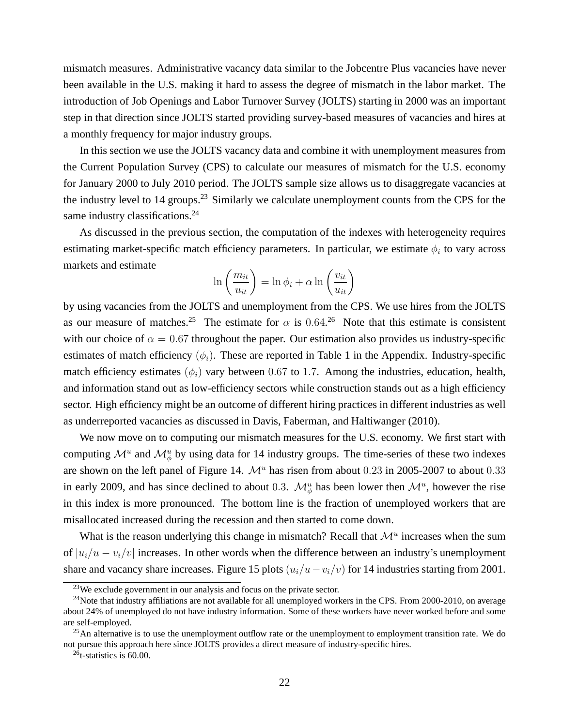mismatch measures. Administrative vacancy data similar to the Jobcentre Plus vacancies have never been available in the U.S. making it hard to assess the degree of mismatch in the labor market. The introduction of Job Openings and Labor Turnover Survey (JOLTS) starting in 2000 was an important step in that direction since JOLTS started providing survey-based measures of vacancies and hires at a monthly frequency for major industry groups.

In this section we use the JOLTS vacancy data and combine it with unemployment measures from the Current Population Survey (CPS) to calculate our measures of mismatch for the U.S. economy for January 2000 to July 2010 period. The JOLTS sample size allows us to disaggregate vacancies at the industry level to 14 groups.<sup>23</sup> Similarly we calculate unemployment counts from the CPS for the same industry classifications.<sup>24</sup>

As discussed in the previous section, the computation of the indexes with heterogeneity requires estimating market-specific match efficiency parameters. In particular, we estimate  $\phi_i$  to vary across markets and estimate

$$
\ln\left(\frac{m_{it}}{u_{it}}\right) = \ln\phi_i + \alpha \ln\left(\frac{v_{it}}{u_{it}}\right)
$$

by using vacancies from the JOLTS and unemployment from the CPS. We use hires from the JOLTS as our measure of matches.<sup>25</sup> The estimate for  $\alpha$  is 0.64.<sup>26</sup> Note that this estimate is consistent with our choice of  $\alpha = 0.67$  throughout the paper. Our estimation also provides us industry-specific estimates of match efficiency  $(\phi_i)$ . These are reported in Table 1 in the Appendix. Industry-specific match efficiency estimates  $(\phi_i)$  vary between 0.67 to 1.7. Among the industries, education, health, and information stand out as low-efficiency sectors while construction stands out as a high efficiency sector. High efficiency might be an outcome of different hiring practices in different industries as well as underreported vacancies as discussed in Davis, Faberman, and Haltiwanger (2010).

We now move on to computing our mismatch measures for the U.S. economy. We first start with computing  $\mathcal{M}^u$  and  $\mathcal{M}^u_{\phi}$  by using data for 14 industry groups. The time-series of these two indexes are shown on the left panel of Figure 14.  $\mathcal{M}^u$  has risen from about 0.23 in 2005-2007 to about 0.33 in early 2009, and has since declined to about 0.3.  $\mathcal{M}_{\phi}^u$  has been lower then  $\mathcal{M}^u$ , however the rise in this index is more pronounced. The bottom line is the fraction of unemployed workers that are misallocated increased during the recession and then started to come down.

What is the reason underlying this change in mismatch? Recall that  $\mathcal{M}^u$  increases when the sum of  $|u_i/u - v_i/v|$  increases. In other words when the difference between an industry's unemployment share and vacancy share increases. Figure 15 plots  $(u_i/u - v_i/v)$  for 14 industries starting from 2001.

<sup>&</sup>lt;sup>23</sup>We exclude government in our analysis and focus on the private sector.

<sup>&</sup>lt;sup>24</sup>Note that industry affiliations are not available for all unemployed workers in the CPS. From 2000-2010, on average about 24% of unemployed do not have industry information. Some of these workers have never worked before and some are self-employed.

 $25$ An alternative is to use the unemployment outflow rate or the unemployment to employment transition rate. We do not pursue this approach here since JOLTS provides a direct measure of industry-specific hires.

 ${}^{26}$ t-statistics is 60.00.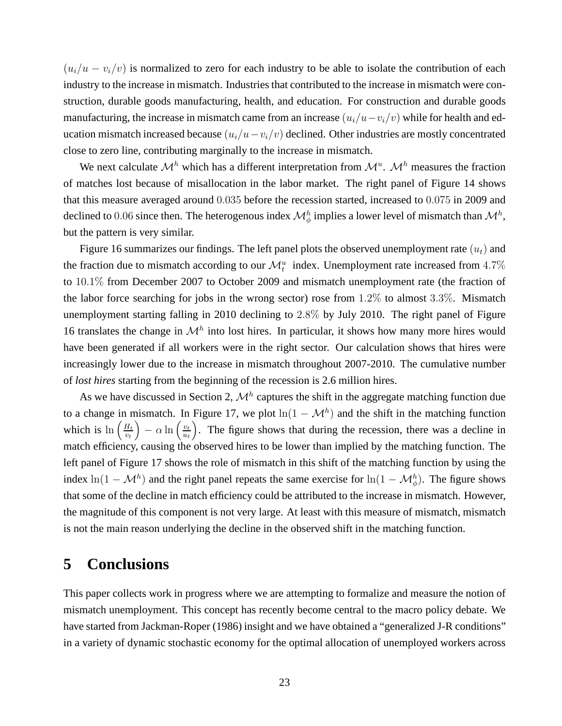$(u_i/u - v_i/v)$  is normalized to zero for each industry to be able to isolate the contribution of each industry to the increase in mismatch. Industries that contributed to the increase in mismatch were construction, durable goods manufacturing, health, and education. For construction and durable goods manufacturing, the increase in mismatch came from an increase  $(u_i/u-v_i/v)$  while for health and education mismatch increased because  $(u_i/u - v_i/v)$  declined. Other industries are mostly concentrated close to zero line, contributing marginally to the increase in mismatch.

We next calculate  $\mathcal{M}^h$  which has a different interpretation from  $\mathcal{M}^u$ .  $\mathcal{M}^h$  measures the fraction of matches lost because of misallocation in the labor market. The right panel of Figure 14 shows that this measure averaged around 0.035 before the recession started, increased to 0.075 in 2009 and declined to 0.06 since then. The heterogenous index  $\mathcal{M}_{\phi}^h$  implies a lower level of mismatch than  $\mathcal{M}^h$ , but the pattern is very similar.

Figure 16 summarizes our findings. The left panel plots the observed unemployment rate  $(u_t)$  and the fraction due to mismatch according to our  $\mathcal{M}_t^u$  index. Unemployment rate increased from 4.7% to 10.1% from December 2007 to October 2009 and mismatch unemployment rate (the fraction of the labor force searching for jobs in the wrong sector) rose from  $1.2\%$  to almost 3.3%. Mismatch unemployment starting falling in 2010 declining to 2.8% by July 2010. The right panel of Figure 16 translates the change in  $\mathcal{M}^h$  into lost hires. In particular, it shows how many more hires would have been generated if all workers were in the right sector. Our calculation shows that hires were increasingly lower due to the increase in mismatch throughout 2007-2010. The cumulative number of *lost hires* starting from the beginning of the recession is 2.6 million hires.

As we have discussed in Section 2,  $\mathcal{M}^h$  captures the shift in the aggregate matching function due to a change in mismatch. In Figure 17, we plot  $ln(1 - \mathcal{M}^h)$  and the shift in the matching function which is  $\ln\left(\frac{H_t}{v_t}\right)$  $\left(\frac{H_t}{v_t}\right) - \alpha \ln \left(\frac{v_t}{u_t}\right)$  $\frac{v_t}{u_t}$ ). The figure shows that during the recession, there was a decline in match efficiency, causing the observed hires to be lower than implied by the matching function. The left panel of Figure 17 shows the role of mismatch in this shift of the matching function by using the index  $\ln(1 - \mathcal{M}^h)$  and the right panel repeats the same exercise for  $\ln(1 - \mathcal{M}^h_{\phi})$ . The figure shows that some of the decline in match efficiency could be attributed to the increase in mismatch. However, the magnitude of this component is not very large. At least with this measure of mismatch, mismatch is not the main reason underlying the decline in the observed shift in the matching function.

# **5 Conclusions**

This paper collects work in progress where we are attempting to formalize and measure the notion of mismatch unemployment. This concept has recently become central to the macro policy debate. We have started from Jackman-Roper (1986) insight and we have obtained a "generalized J-R conditions" in a variety of dynamic stochastic economy for the optimal allocation of unemployed workers across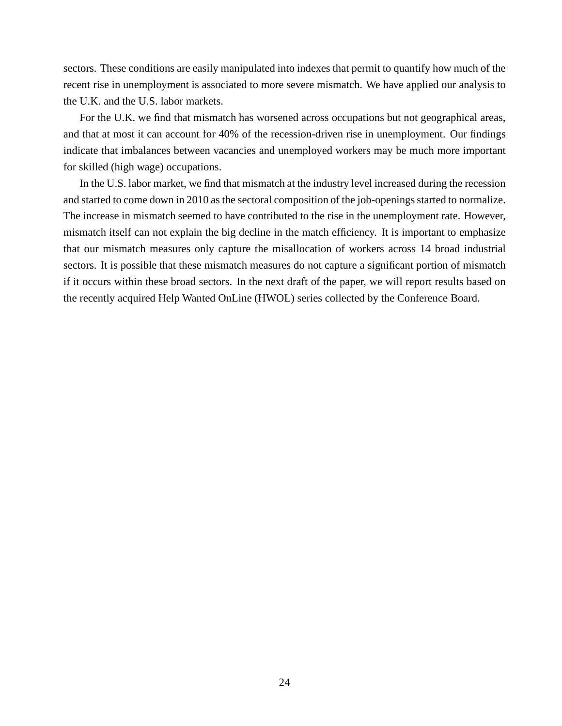sectors. These conditions are easily manipulated into indexes that permit to quantify how much of the recent rise in unemployment is associated to more severe mismatch. We have applied our analysis to the U.K. and the U.S. labor markets.

For the U.K. we find that mismatch has worsened across occupations but not geographical areas, and that at most it can account for 40% of the recession-driven rise in unemployment. Our findings indicate that imbalances between vacancies and unemployed workers may be much more important for skilled (high wage) occupations.

In the U.S. labor market, we find that mismatch at the industry level increased during the recession and started to come down in 2010 as the sectoral composition of the job-openings started to normalize. The increase in mismatch seemed to have contributed to the rise in the unemployment rate. However, mismatch itself can not explain the big decline in the match efficiency. It is important to emphasize that our mismatch measures only capture the misallocation of workers across 14 broad industrial sectors. It is possible that these mismatch measures do not capture a significant portion of mismatch if it occurs within these broad sectors. In the next draft of the paper, we will report results based on the recently acquired Help Wanted OnLine (HWOL) series collected by the Conference Board.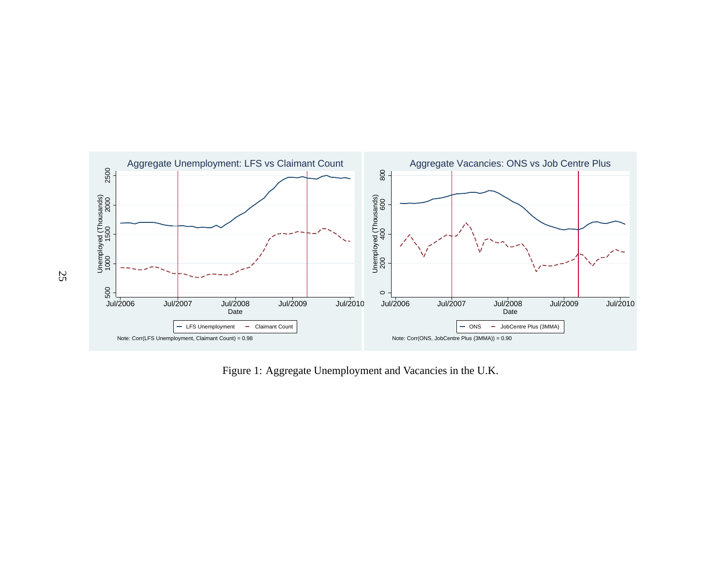

Figure 1: Aggregate Unemployment and Vacancies in the U.K.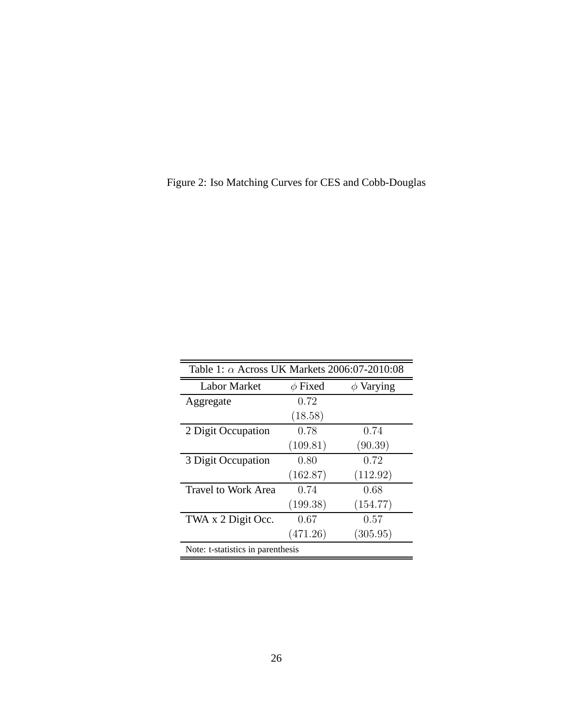Figure 2: Iso Matching Curves for CES and Cobb-Douglas

| Table 1: $\alpha$ Across UK Markets 2006:07-2010:08 |              |                |  |
|-----------------------------------------------------|--------------|----------------|--|
| <b>Labor Market</b>                                 | $\phi$ Fixed | $\phi$ Varying |  |
| Aggregate                                           | 0.72         |                |  |
|                                                     | (18.58)      |                |  |
| 2 Digit Occupation                                  | 0.78         | 0.74           |  |
|                                                     | (109.81)     | (90.39)        |  |
| 3 Digit Occupation                                  | 0.80         | 0.72           |  |
|                                                     | (162.87)     | (112.92)       |  |
| <b>Travel to Work Area</b>                          | 0.74         | 0.68           |  |
|                                                     | (199.38)     | (154.77)       |  |
| TWA x 2 Digit Occ.                                  | 0.67         | 0.57           |  |
|                                                     | (471.26)     | (305.95)       |  |
| Note: t-statistics in parenthesis                   |              |                |  |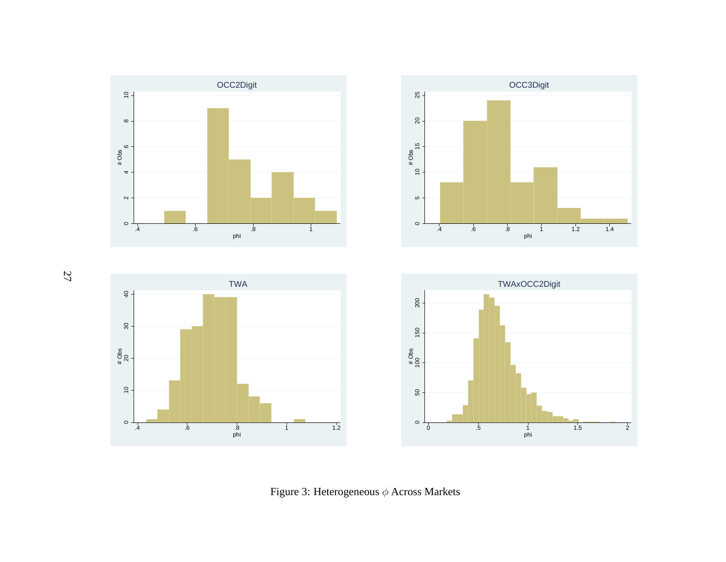

Figure 3: Heterogeneous  $\phi$  Across Markets

27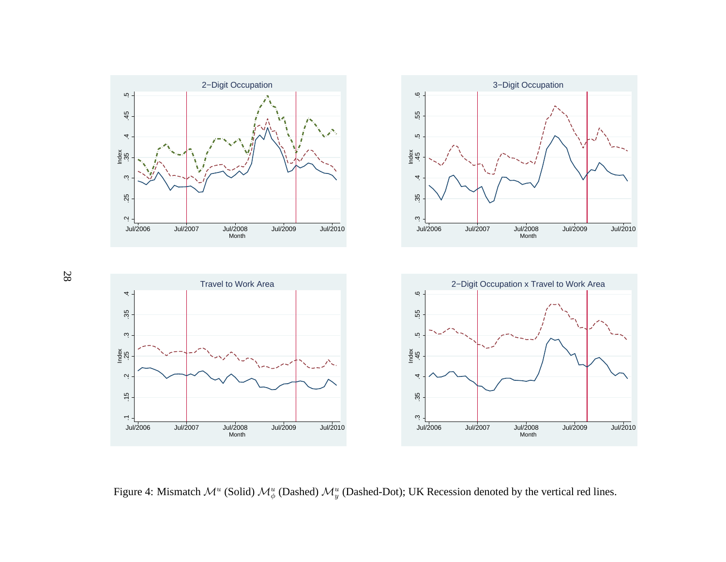

Figure 4: Mismatch  $\mathcal{M}^u$  (Solid)  $\mathcal{M}^u_\phi$  (Dashed)  $\mathcal{M}^u_y$  (Dashed-Dot); UK Recession denoted by the vertical red lines.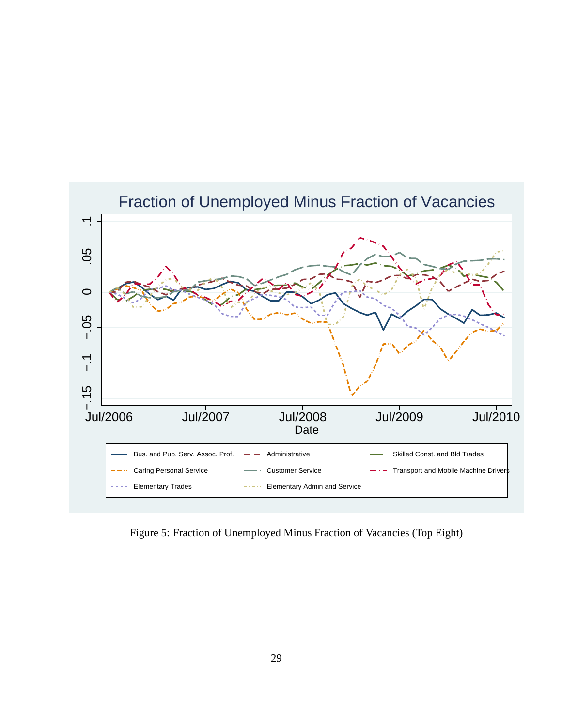

Figure 5: Fraction of Unemployed Minus Fraction of Vacancies (Top Eight)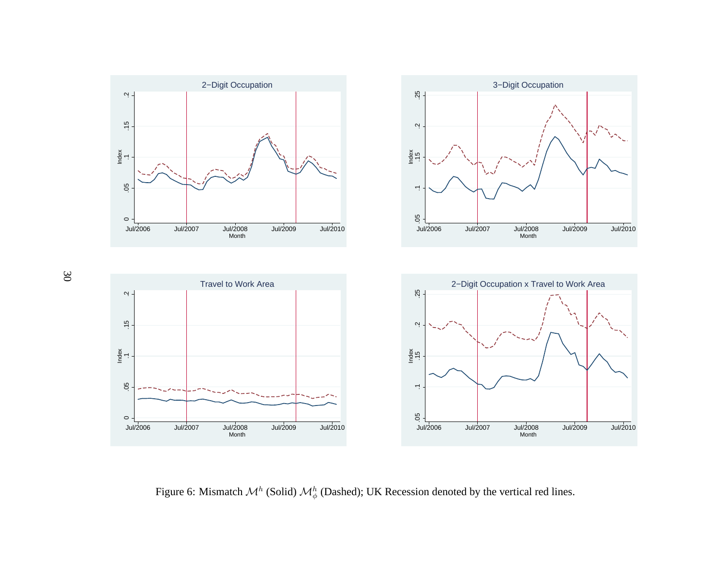

Figure 6: Mismatch  $\mathcal{M}^h$  (Solid)  $\mathcal{M}^h_{\phi}$  (Dashed); UK Recession denoted by the vertical red lines.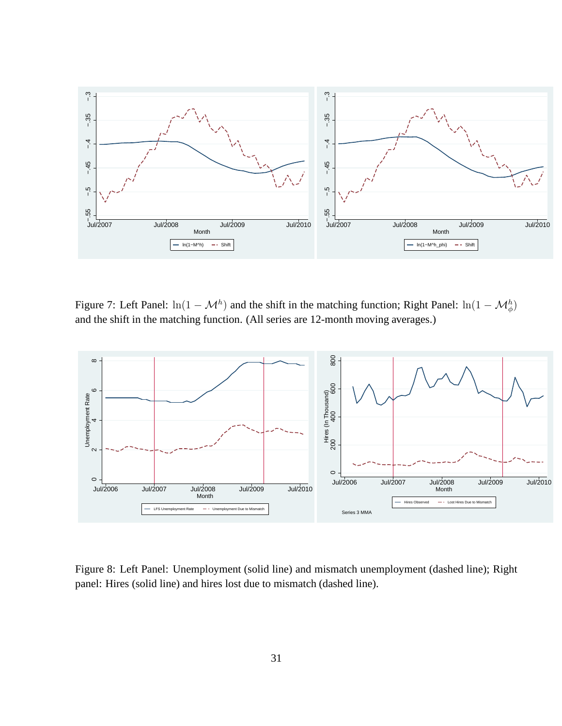

Figure 7: Left Panel:  $ln(1 - \mathcal{M}^h)$  and the shift in the matching function; Right Panel:  $ln(1 - \mathcal{M}_{\phi}^h)$ and the shift in the matching function. (All series are 12-month moving averages.)



Figure 8: Left Panel: Unemployment (solid line) and mismatch unemployment (dashed line); Right panel: Hires (solid line) and hires lost due to mismatch (dashed line).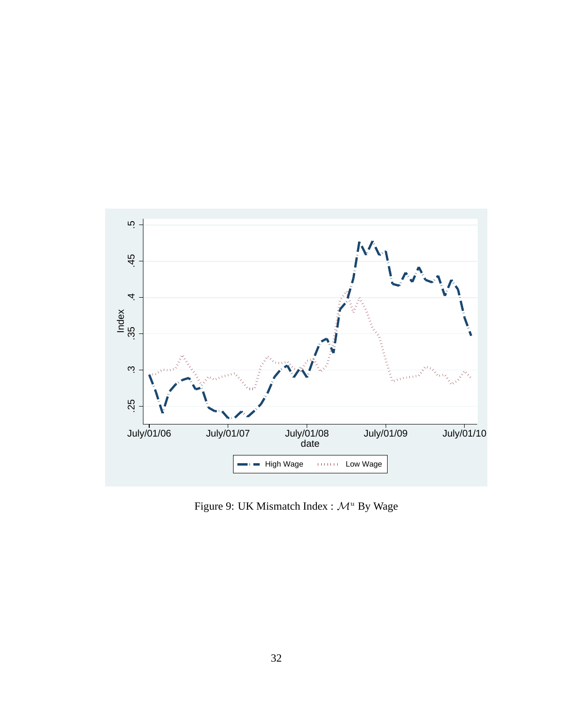

Figure 9: UK Mismatch Index :  $\mathcal{M}^u$  By Wage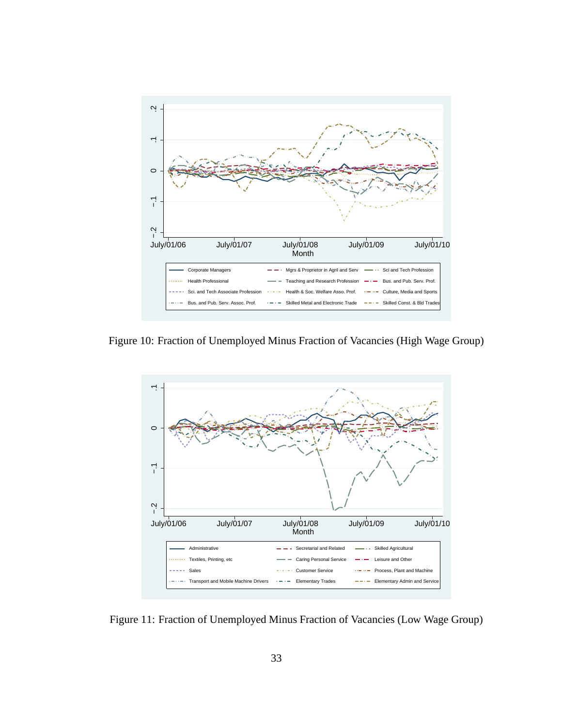

Figure 10: Fraction of Unemployed Minus Fraction of Vacancies (High Wage Group)



Figure 11: Fraction of Unemployed Minus Fraction of Vacancies (Low Wage Group)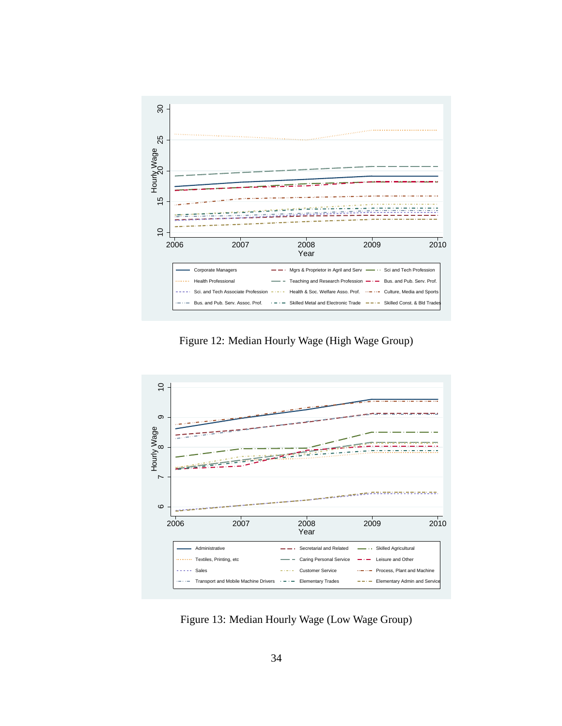

Figure 12: Median Hourly Wage (High Wage Group)



Figure 13: Median Hourly Wage (Low Wage Group)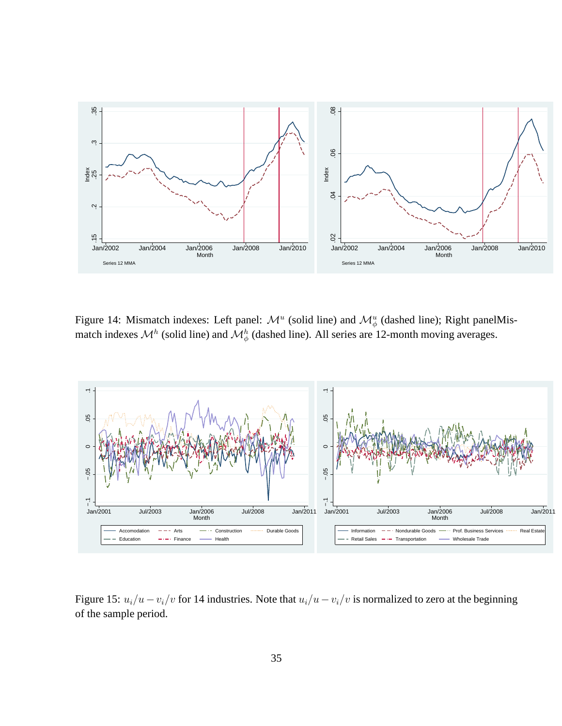

Figure 14: Mismatch indexes: Left panel:  $\mathcal{M}^u$  (solid line) and  $\mathcal{M}^u_{\phi}$  (dashed line); Right panelMismatch indexes  $\mathcal{M}^h$  (solid line) and  $\mathcal{M}^h_{\phi}$  (dashed line). All series are 12-month moving averages.



Figure 15:  $u_i/u - v_i/v$  for 14 industries. Note that  $u_i/u - v_i/v$  is normalized to zero at the beginning of the sample period.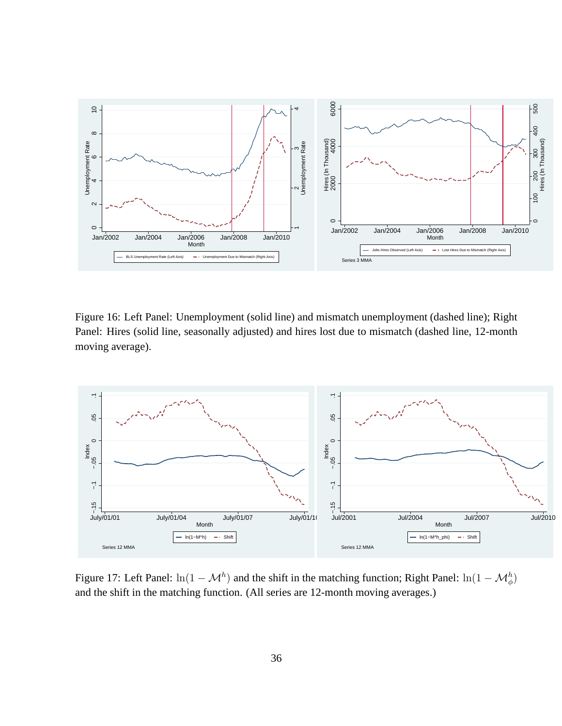

Figure 16: Left Panel: Unemployment (solid line) and mismatch unemployment (dashed line); Right Panel: Hires (solid line, seasonally adjusted) and hires lost due to mismatch (dashed line, 12-month moving average).



Figure 17: Left Panel:  $ln(1 - \mathcal{M}^h)$  and the shift in the matching function; Right Panel:  $ln(1 - \mathcal{M}_{\phi}^h)$ and the shift in the matching function. (All series are 12-month moving averages.)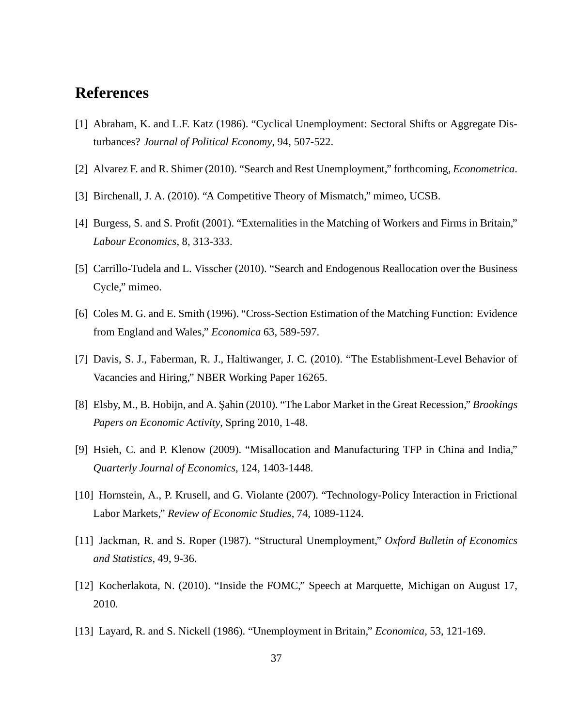# **References**

- [1] Abraham, K. and L.F. Katz (1986). "Cyclical Unemployment: Sectoral Shifts or Aggregate Disturbances? *Journal of Political Economy*, 94, 507-522.
- [2] Alvarez F. and R. Shimer (2010). "Search and Rest Unemployment," forthcoming, *Econometrica*.
- [3] Birchenall, J. A. (2010). "A Competitive Theory of Mismatch," mimeo, UCSB.
- [4] Burgess, S. and S. Profit (2001). "Externalities in the Matching of Workers and Firms in Britain," *Labour Economics*, 8, 313-333.
- [5] Carrillo-Tudela and L. Visscher (2010). "Search and Endogenous Reallocation over the Business Cycle," mimeo.
- [6] Coles M. G. and E. Smith (1996). "Cross-Section Estimation of the Matching Function: Evidence from England and Wales," *Economica* 63, 589-597.
- [7] Davis, S. J., Faberman, R. J., Haltiwanger, J. C. (2010). "The Establishment-Level Behavior of Vacancies and Hiring," NBER Working Paper 16265.
- [8] Elsby, M., B. Hobijn, and A. S¸ahin (2010). "The Labor Market in the Great Recession," *Brookings Papers on Economic Activity*, Spring 2010, 1-48.
- [9] Hsieh, C. and P. Klenow (2009). "Misallocation and Manufacturing TFP in China and India," *Quarterly Journal of Economics*, 124, 1403-1448.
- [10] Hornstein, A., P. Krusell, and G. Violante (2007). "Technology-Policy Interaction in Frictional Labor Markets," *Review of Economic Studies*, 74, 1089-1124.
- [11] Jackman, R. and S. Roper (1987). "Structural Unemployment," *Oxford Bulletin of Economics and Statistics*, 49, 9-36.
- [12] Kocherlakota, N. (2010). "Inside the FOMC," Speech at Marquette, Michigan on August 17, 2010.
- [13] Layard, R. and S. Nickell (1986). "Unemployment in Britain," *Economica*, 53, 121-169.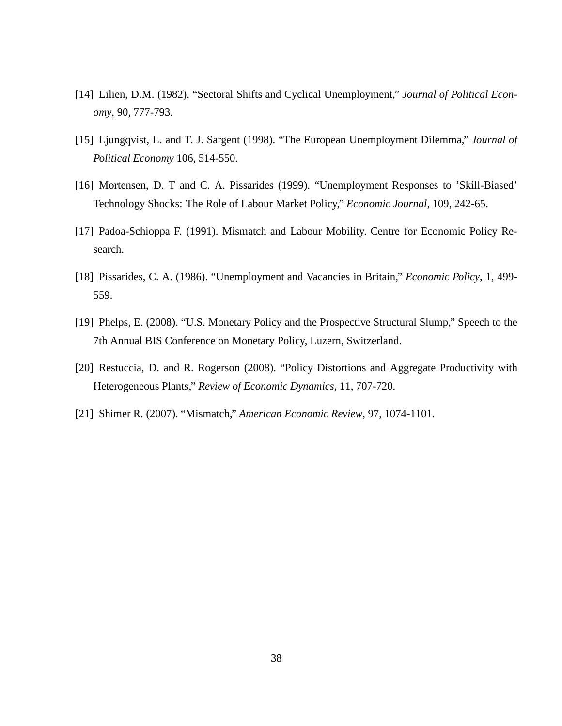- [14] Lilien, D.M. (1982). "Sectoral Shifts and Cyclical Unemployment," *Journal of Political Economy*, 90, 777-793.
- [15] Ljungqvist, L. and T. J. Sargent (1998). "The European Unemployment Dilemma," *Journal of Political Economy* 106, 514-550.
- [16] Mortensen, D. T and C. A. Pissarides (1999). "Unemployment Responses to 'Skill-Biased' Technology Shocks: The Role of Labour Market Policy," *Economic Journal*, 109, 242-65.
- [17] Padoa-Schioppa F. (1991). Mismatch and Labour Mobility. Centre for Economic Policy Research.
- [18] Pissarides, C. A. (1986). "Unemployment and Vacancies in Britain," *Economic Policy*, 1, 499- 559.
- [19] Phelps, E. (2008). "U.S. Monetary Policy and the Prospective Structural Slump," Speech to the 7th Annual BIS Conference on Monetary Policy, Luzern, Switzerland.
- [20] Restuccia, D. and R. Rogerson (2008). "Policy Distortions and Aggregate Productivity with Heterogeneous Plants," *Review of Economic Dynamics*, 11, 707-720.
- [21] Shimer R. (2007). "Mismatch," *American Economic Review*, 97, 1074-1101.